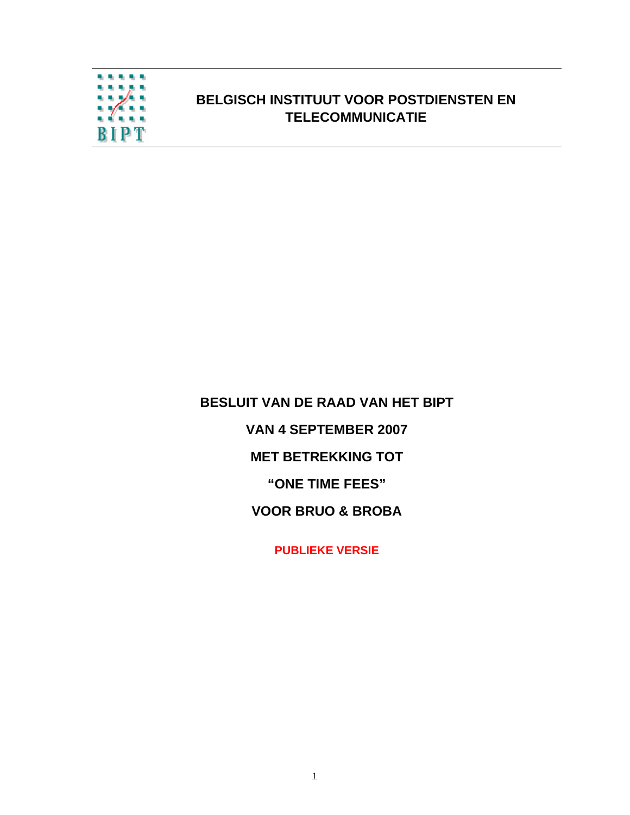

## **BELGISCH INSTITUUT VOOR POSTDIENSTEN EN TELECOMMUNICATIE**

# **BESLUIT VAN DE RAAD VAN HET BIPT**

**VAN 4 SEPTEMBER 2007**

**MET BETREKKING TOT** 

**"ONE TIME FEES"** 

**VOOR BRUO & BROBA** 

**PUBLIEKE VERSIE**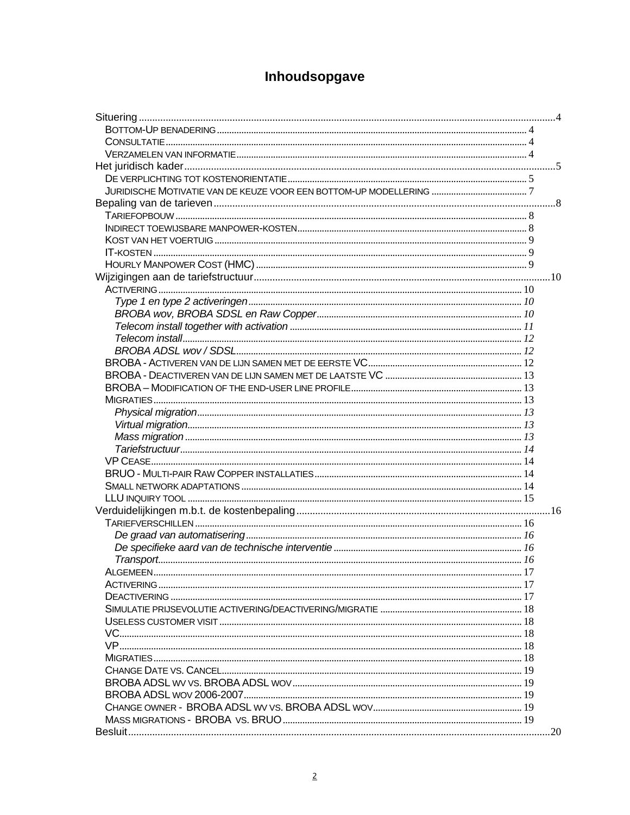# Inhoudsopgave

| ALGEMEEN ALGEBRA AND A CHARGE AND A CHARGE AND A CHARGE AND A CHARGE AND A CHARGE AND A CHARGE AND A CHARGE AND<br>$\sim$ 17 |  |
|------------------------------------------------------------------------------------------------------------------------------|--|
|                                                                                                                              |  |
|                                                                                                                              |  |
|                                                                                                                              |  |
|                                                                                                                              |  |
|                                                                                                                              |  |
|                                                                                                                              |  |
|                                                                                                                              |  |
|                                                                                                                              |  |
|                                                                                                                              |  |
|                                                                                                                              |  |
|                                                                                                                              |  |
|                                                                                                                              |  |
|                                                                                                                              |  |
|                                                                                                                              |  |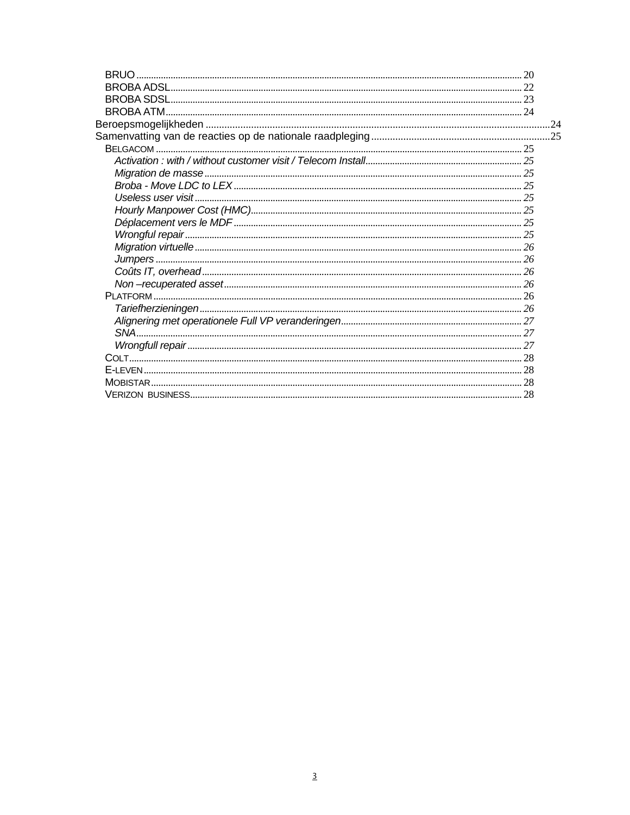| -28 |  |
|-----|--|
|     |  |
|     |  |
|     |  |
|     |  |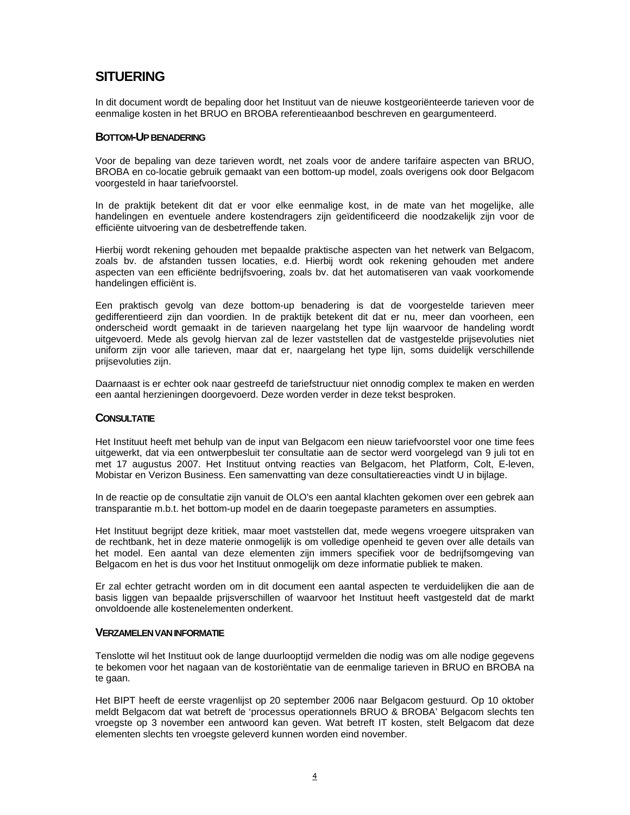## **SITUERING**

In dit document wordt de bepaling door het Instituut van de nieuwe kostgeoriënteerde tarieven voor de eenmalige kosten in het BRUO en BROBA referentieaanbod beschreven en geargumenteerd.

#### **BOTTOM-UP BENADERING**

Voor de bepaling van deze tarieven wordt, net zoals voor de andere tarifaire aspecten van BRUO, BROBA en co-locatie gebruik gemaakt van een bottom-up model, zoals overigens ook door Belgacom voorgesteld in haar tariefvoorstel.

In de praktijk betekent dit dat er voor elke eenmalige kost, in de mate van het mogelijke, alle handelingen en eventuele andere kostendragers zijn geïdentificeerd die noodzakelijk zijn voor de efficiënte uitvoering van de desbetreffende taken.

Hierbij wordt rekening gehouden met bepaalde praktische aspecten van het netwerk van Belgacom, zoals bv. de afstanden tussen locaties, e.d. Hierbij wordt ook rekening gehouden met andere aspecten van een efficiënte bedrijfsvoering, zoals bv. dat het automatiseren van vaak voorkomende handelingen efficiënt is.

Een praktisch gevolg van deze bottom-up benadering is dat de voorgestelde tarieven meer gedifferentieerd zijn dan voordien. In de praktijk betekent dit dat er nu, meer dan voorheen, een onderscheid wordt gemaakt in de tarieven naargelang het type lijn waarvoor de handeling wordt uitgevoerd. Mede als gevolg hiervan zal de lezer vaststellen dat de vastgestelde prijsevoluties niet uniform zijn voor alle tarieven, maar dat er, naargelang het type lijn, soms duidelijk verschillende prijsevoluties zijn.

Daarnaast is er echter ook naar gestreefd de tariefstructuur niet onnodig complex te maken en werden een aantal herzieningen doorgevoerd. Deze worden verder in deze tekst besproken.

### **CONSULTATIE**

Het Instituut heeft met behulp van de input van Belgacom een nieuw tariefvoorstel voor one time fees uitgewerkt, dat via een ontwerpbesluit ter consultatie aan de sector werd voorgelegd van 9 juli tot en met 17 augustus 2007. Het Instituut ontving reacties van Belgacom, het Platform, Colt, E-leven, Mobistar en Verizon Business. Een samenvatting van deze consultatiereacties vindt U in bijlage.

In de reactie op de consultatie zijn vanuit de OLO's een aantal klachten gekomen over een gebrek aan transparantie m.b.t. het bottom-up model en de daarin toegepaste parameters en assumpties.

Het Instituut begrijpt deze kritiek, maar moet vaststellen dat, mede wegens vroegere uitspraken van de rechtbank, het in deze materie onmogelijk is om volledige openheid te geven over alle details van het model. Een aantal van deze elementen zijn immers specifiek voor de bedrijfsomgeving van Belgacom en het is dus voor het Instituut onmogelijk om deze informatie publiek te maken.

Er zal echter getracht worden om in dit document een aantal aspecten te verduidelijken die aan de basis liggen van bepaalde prijsverschillen of waarvoor het Instituut heeft vastgesteld dat de markt onvoldoende alle kostenelementen onderkent.

#### **VERZAMELEN VAN INFORMATIE**

Tenslotte wil het Instituut ook de lange duurlooptijd vermelden die nodig was om alle nodige gegevens te bekomen voor het nagaan van de kostoriëntatie van de eenmalige tarieven in BRUO en BROBA na te gaan.

Het BIPT heeft de eerste vragenlijst op 20 september 2006 naar Belgacom gestuurd. Op 10 oktober meldt Belgacom dat wat betreft de 'processus operationnels BRUO & BROBA' Belgacom slechts ten vroegste op 3 november een antwoord kan geven. Wat betreft IT kosten, stelt Belgacom dat deze elementen slechts ten vroegste geleverd kunnen worden eind november.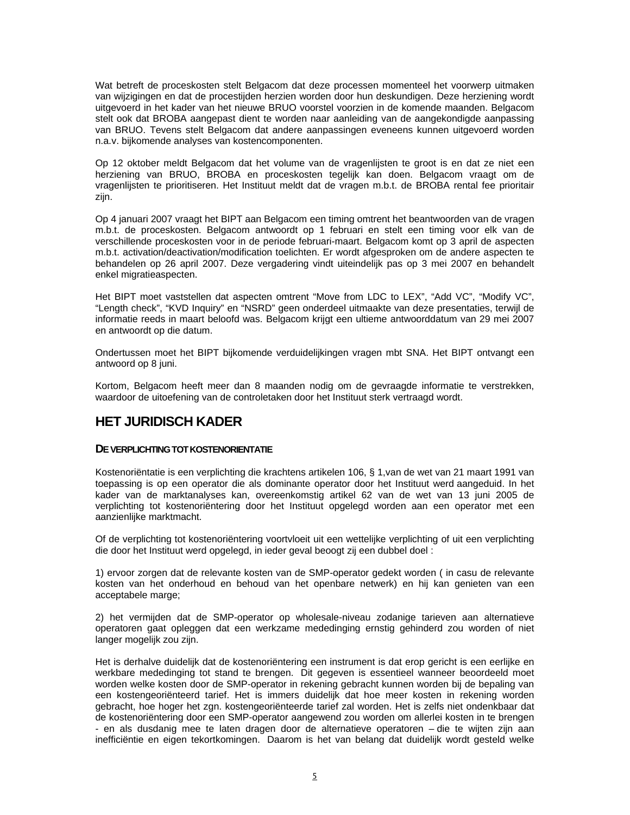Wat betreft de proceskosten stelt Belgacom dat deze processen momenteel het voorwerp uitmaken van wijzigingen en dat de procestijden herzien worden door hun deskundigen. Deze herziening wordt uitgevoerd in het kader van het nieuwe BRUO voorstel voorzien in de komende maanden. Belgacom stelt ook dat BROBA aangepast dient te worden naar aanleiding van de aangekondigde aanpassing van BRUO. Tevens stelt Belgacom dat andere aanpassingen eveneens kunnen uitgevoerd worden n.a.v. bijkomende analyses van kostencomponenten.

Op 12 oktober meldt Belgacom dat het volume van de vragenlijsten te groot is en dat ze niet een herziening van BRUO, BROBA en proceskosten tegelijk kan doen. Belgacom vraagt om de vragenlijsten te prioritiseren. Het Instituut meldt dat de vragen m.b.t. de BROBA rental fee prioritair zijn.

Op 4 januari 2007 vraagt het BIPT aan Belgacom een timing omtrent het beantwoorden van de vragen m.b.t. de proceskosten. Belgacom antwoordt op 1 februari en stelt een timing voor elk van de verschillende proceskosten voor in de periode februari-maart. Belgacom komt op 3 april de aspecten m.b.t. activation/deactivation/modification toelichten. Er wordt afgesproken om de andere aspecten te behandelen op 26 april 2007. Deze vergadering vindt uiteindelijk pas op 3 mei 2007 en behandelt enkel migratieaspecten.

Het BIPT moet vaststellen dat aspecten omtrent "Move from LDC to LEX", "Add VC", "Modify VC", "Length check", "KVD Inquiry" en "NSRD" geen onderdeel uitmaakte van deze presentaties, terwijl de informatie reeds in maart beloofd was. Belgacom krijgt een ultieme antwoorddatum van 29 mei 2007 en antwoordt op die datum.

Ondertussen moet het BIPT bijkomende verduidelijkingen vragen mbt SNA. Het BIPT ontvangt een antwoord op 8 juni.

Kortom, Belgacom heeft meer dan 8 maanden nodig om de gevraagde informatie te verstrekken, waardoor de uitoefening van de controletaken door het Instituut sterk vertraagd wordt.

## **HET JURIDISCH KADER**

#### **DE VERPLICHTING TOT KOSTENORIENTATIE**

Kostenoriëntatie is een verplichting die krachtens artikelen 106, § 1,van de wet van 21 maart 1991 van toepassing is op een operator die als dominante operator door het Instituut werd aangeduid. In het kader van de marktanalyses kan, overeenkomstig artikel 62 van de wet van 13 juni 2005 de verplichting tot kostenoriëntering door het Instituut opgelegd worden aan een operator met een aanzienlijke marktmacht.

Of de verplichting tot kostenoriëntering voortvloeit uit een wettelijke verplichting of uit een verplichting die door het Instituut werd opgelegd, in ieder geval beoogt zij een dubbel doel :

1) ervoor zorgen dat de relevante kosten van de SMP-operator gedekt worden ( in casu de relevante kosten van het onderhoud en behoud van het openbare netwerk) en hij kan genieten van een acceptabele marge;

2) het vermijden dat de SMP-operator op wholesale-niveau zodanige tarieven aan alternatieve operatoren gaat opleggen dat een werkzame mededinging ernstig gehinderd zou worden of niet langer mogelijk zou zijn.

Het is derhalve duidelijk dat de kostenoriëntering een instrument is dat erop gericht is een eerlijke en werkbare mededinging tot stand te brengen. Dit gegeven is essentieel wanneer beoordeeld moet worden welke kosten door de SMP-operator in rekening gebracht kunnen worden bij de bepaling van een kostengeoriënteerd tarief. Het is immers duidelijk dat hoe meer kosten in rekening worden gebracht, hoe hoger het zgn. kostengeoriënteerde tarief zal worden. Het is zelfs niet ondenkbaar dat de kostenoriëntering door een SMP-operator aangewend zou worden om allerlei kosten in te brengen - en als dusdanig mee te laten dragen door de alternatieve operatoren – die te wijten zijn aan inefficiëntie en eigen tekortkomingen. Daarom is het van belang dat duidelijk wordt gesteld welke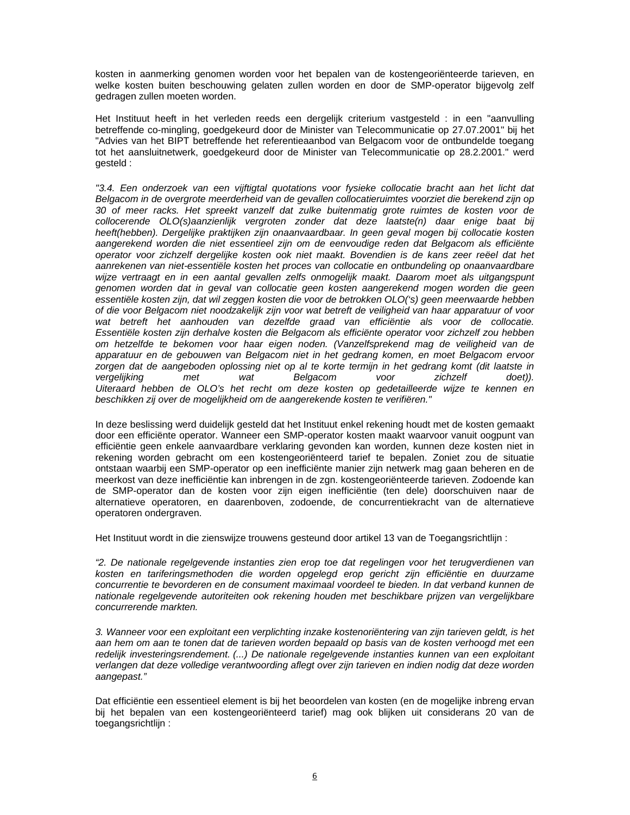kosten in aanmerking genomen worden voor het bepalen van de kostengeoriënteerde tarieven, en welke kosten buiten beschouwing gelaten zullen worden en door de SMP-operator bijgevolg zelf gedragen zullen moeten worden.

Het Instituut heeft in het verleden reeds een dergelijk criterium vastgesteld : in een "aanvulling betreffende co-mingling, goedgekeurd door de Minister van Telecommunicatie op 27.07.2001" bij het "Advies van het BIPT betreffende het referentieaanbod van Belgacom voor de ontbundelde toegang tot het aansluitnetwerk, goedgekeurd door de Minister van Telecommunicatie op 28.2.2001." werd gesteld :

*"3.4. Een onderzoek van een vijftigtal quotations voor fysieke collocatie bracht aan het licht dat Belgacom in de overgrote meerderheid van de gevallen collocatieruimtes voorziet die berekend zijn op 30 of meer racks. Het spreekt vanzelf dat zulke buitenmatig grote ruimtes de kosten voor de collocerende OLO(s)aanzienlijk vergroten zonder dat deze laatste(n) daar enige baat bij heeft(hebben). Dergelijke praktijken zijn onaanvaardbaar. In geen geval mogen bij collocatie kosten aangerekend worden die niet essentieel zijn om de eenvoudige reden dat Belgacom als efficiënte operator voor zichzelf dergelijke kosten ook niet maakt. Bovendien is de kans zeer reëel dat het aanrekenen van niet-essentiële kosten het proces van collocatie en ontbundeling op onaanvaardbare wijze vertraagt en in een aantal gevallen zelfs onmogelijk maakt. Daarom moet als uitgangspunt genomen worden dat in geval van collocatie geen kosten aangerekend mogen worden die geen essentiële kosten zijn, dat wil zeggen kosten die voor de betrokken OLO('s) geen meerwaarde hebben of die voor Belgacom niet noodzakelijk zijn voor wat betreft de veiligheid van haar apparatuur of voor*  wat betreft het aanhouden van dezelfde graad van efficiëntie als voor de collocatie. *Essentiële kosten zijn derhalve kosten die Belgacom als efficiënte operator voor zichzelf zou hebben om hetzelfde te bekomen voor haar eigen noden. (Vanzelfsprekend mag de veiligheid van de apparatuur en de gebouwen van Belgacom niet in het gedrang komen, en moet Belgacom ervoor zorgen dat de aangeboden oplossing niet op al te korte termijn in het gedrang komt (dit laatste in vergelijking met wat Belgacom voor zichzelf doet)). Uiteraard hebben de OLO's het recht om deze kosten op gedetailleerde wijze te kennen en beschikken zij over de mogelijkheid om de aangerekende kosten te verifiëren."* 

In deze beslissing werd duidelijk gesteld dat het Instituut enkel rekening houdt met de kosten gemaakt door een efficiënte operator. Wanneer een SMP-operator kosten maakt waarvoor vanuit oogpunt van efficiëntie geen enkele aanvaardbare verklaring gevonden kan worden, kunnen deze kosten niet in rekening worden gebracht om een kostengeoriënteerd tarief te bepalen. Zoniet zou de situatie ontstaan waarbij een SMP-operator op een inefficiënte manier zijn netwerk mag gaan beheren en de meerkost van deze inefficiëntie kan inbrengen in de zgn. kostengeoriënteerde tarieven. Zodoende kan de SMP-operator dan de kosten voor zijn eigen inefficiëntie (ten dele) doorschuiven naar de alternatieve operatoren, en daarenboven, zodoende, de concurrentiekracht van de alternatieve operatoren ondergraven.

Het Instituut wordt in die zienswijze trouwens gesteund door artikel 13 van de Toegangsrichtlijn :

*"2. De nationale regelgevende instanties zien erop toe dat regelingen voor het terugverdienen van kosten en tariferingsmethoden die worden opgelegd erop gericht zijn efficiëntie en duurzame concurrentie te bevorderen en de consument maximaal voordeel te bieden. In dat verband kunnen de nationale regelgevende autoriteiten ook rekening houden met beschikbare prijzen van vergelijkbare concurrerende markten.* 

*3. Wanneer voor een exploitant een verplichting inzake kostenoriëntering van zijn tarieven geldt, is het aan hem om aan te tonen dat de tarieven worden bepaald op basis van de kosten verhoogd met een redelijk investeringsrendement. (...) De nationale regelgevende instanties kunnen van een exploitant verlangen dat deze volledige verantwoording aflegt over zijn tarieven en indien nodig dat deze worden aangepast."* 

Dat efficiëntie een essentieel element is bij het beoordelen van kosten (en de mogelijke inbreng ervan bij het bepalen van een kostengeoriënteerd tarief) mag ook blijken uit considerans 20 van de toegangsrichtlijn :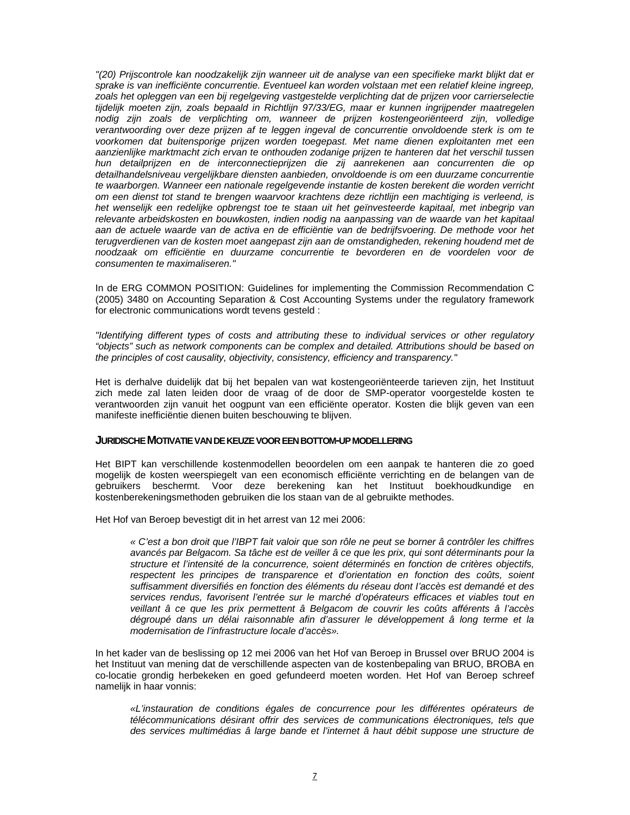*"(20) Prijscontrole kan noodzakelijk zijn wanneer uit de analyse van een specifieke markt blijkt dat er sprake is van inefficiënte concurrentie. Eventueel kan worden volstaan met een relatief kleine ingreep, zoals het opleggen van een bij regelgeving vastgestelde verplichting dat de prijzen voor carrierselectie tijdelijk moeten zijn, zoals bepaald in Richtlijn 97/33/EG, maar er kunnen ingrijpender maatregelen nodig zijn zoals de verplichting om, wanneer de prijzen kostengeoriënteerd zijn, volledige*  verantwoording over deze prijzen af te leggen ingeval de concurrentie onvoldoende sterk is om te *voorkomen dat buitensporige prijzen worden toegepast. Met name dienen exploitanten met een aanzienlijke marktmacht zich ervan te onthouden zodanige prijzen te hanteren dat het verschil tussen hun detailprijzen en de interconnectieprijzen die zij aanrekenen aan concurrenten die op detailhandelsniveau vergelijkbare diensten aanbieden, onvoldoende is om een duurzame concurrentie te waarborgen. Wanneer een nationale regelgevende instantie de kosten berekent die worden verricht om een dienst tot stand te brengen waarvoor krachtens deze richtlijn een machtiging is verleend, is het wenselijk een redelijke opbrengst toe te staan uit het geïnvesteerde kapitaal, met inbegrip van relevante arbeidskosten en bouwkosten, indien nodig na aanpassing van de waarde van het kapitaal aan de actuele waarde van de activa en de efficiëntie van de bedrijfsvoering. De methode voor het terugverdienen van de kosten moet aangepast zijn aan de omstandigheden, rekening houdend met de noodzaak om efficiëntie en duurzame concurrentie te bevorderen en de voordelen voor de consumenten te maximaliseren."* 

In de ERG COMMON POSITION: Guidelines for implementing the Commission Recommendation C (2005) 3480 on Accounting Separation & Cost Accounting Systems under the regulatory framework for electronic communications wordt tevens gesteld :

*"Identifying different types of costs and attributing these to individual services or other regulatory "objects" such as network components can be complex and detailed. Attributions should be based on the principles of cost causality, objectivity, consistency, efficiency and transparency."* 

Het is derhalve duidelijk dat bij het bepalen van wat kostengeoriënteerde tarieven zijn, het Instituut zich mede zal laten leiden door de vraag of de door de SMP-operator voorgestelde kosten te verantwoorden zijn vanuit het oogpunt van een efficiënte operator. Kosten die blijk geven van een manifeste inefficiëntie dienen buiten beschouwing te blijven.

#### **JURIDISCHE MOTIVATIE VAN DE KEUZE VOOR EEN BOTTOM-UP MODELLERING**

Het BIPT kan verschillende kostenmodellen beoordelen om een aanpak te hanteren die zo goed mogelijk de kosten weerspiegelt van een economisch efficiënte verrichting en de belangen van de gebruikers beschermt. Voor deze berekening kan het Instituut boekhoudkundige en kostenberekeningsmethoden gebruiken die los staan van de al gebruikte methodes.

Het Hof van Beroep bevestigt dit in het arrest van 12 mei 2006:

*« C'est a bon droit que l'IBPT fait valoir que son rôle ne peut se borner â contrôler les chiffres avancés par Belgacom. Sa tâche est de veiller â ce que les prix, qui sont déterminants pour la structure et l'intensité de la concurrence, soient déterminés en fonction de critères objectifs, respectent les principes de transparence et d'orientation en fonction des coûts, soient suffisamment diversifiés en fonction des éléments du réseau dont I'accès est demandé et des services rendus, favorisent l'entrée sur le marché d'opérateurs efficaces et viables tout en veillant â ce que les prix permettent â Belgacom de couvrir les coûts afférents â l'accès dégroupé dans un délai raisonnable afin d'assurer le développement â long terme et la modernisation de l'infrastructure locale d'accès».* 

In het kader van de beslissing op 12 mei 2006 van het Hof van Beroep in Brussel over BRUO 2004 is het Instituut van mening dat de verschillende aspecten van de kostenbepaling van BRUO, BROBA en co-locatie grondig herbekeken en goed gefundeerd moeten worden. Het Hof van Beroep schreef namelijk in haar vonnis:

*«L'instauration de conditions égales de concurrence pour les différentes opérateurs de télécommunications désirant offrir des services de communications électroniques, tels que des services multimédias â large bande et l'internet â haut débit suppose une structure de*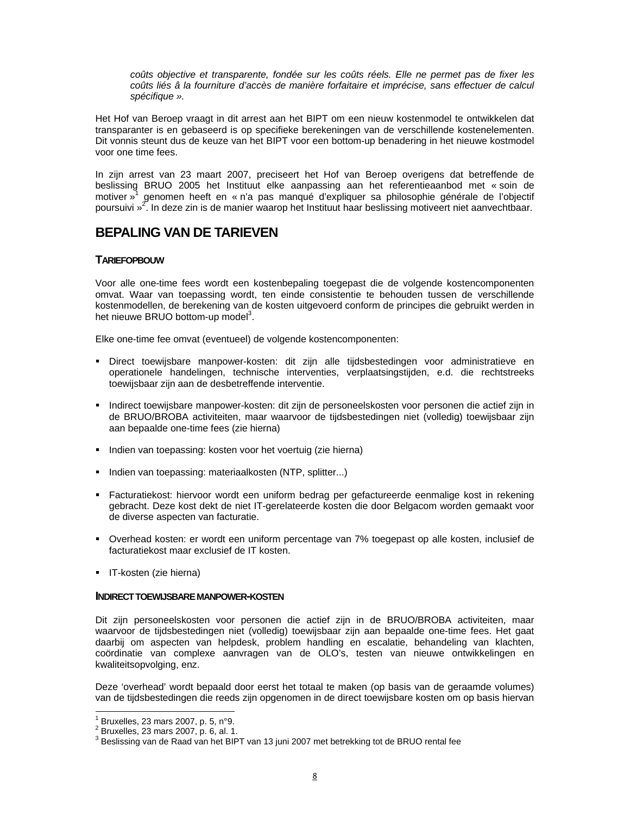*coûts objective et transparente, fondée sur les coûts réels. Elle ne permet pas de fixer les coûts liés â la fourniture d'accès de manière forfaitaire et imprécise, sans effectuer de calcul spécifique ».* 

Het Hof van Beroep vraagt in dit arrest aan het BIPT om een nieuw kostenmodel te ontwikkelen dat transparanter is en gebaseerd is op specifieke berekeningen van de verschillende kostenelementen. Dit vonnis steunt dus de keuze van het BIPT voor een bottom-up benadering in het nieuwe kostmodel voor one time fees.

In zijn arrest van 23 maart 2007, preciseert het Hof van Beroep overigens dat betreffende de beslissing BRUO 2005 het Instituut elke aanpassing aan het referentieaanbod met « soin de motiver »<sup>1</sup> genomen heeft en « n'a pas manqué d'expliquer sa philosophie générale de l'objectif poursuivi »<sup>2</sup>. In deze zin is de manier waarop het Instituut haar beslissing motiveert niet aanvechtbaar.

## **BEPALING VAN DE TARIEVEN**

### **TARIEFOPBOUW**

Voor alle one-time fees wordt een kostenbepaling toegepast die de volgende kostencomponenten omvat. Waar van toepassing wordt, ten einde consistentie te behouden tussen de verschillende kostenmodellen, de berekening van de kosten uitgevoerd conform de principes die gebruikt werden in het nieuwe BRUO bottom-up model<sup>3</sup>.

Elke one-time fee omvat (eventueel) de volgende kostencomponenten:

- Direct toewijsbare manpower-kosten: dit zijn alle tijdsbestedingen voor administratieve en operationele handelingen, technische interventies, verplaatsingstijden, e.d. die rechtstreeks toewijsbaar zijn aan de desbetreffende interventie.
- Indirect toewijsbare manpower-kosten: dit zijn de personeelskosten voor personen die actief zijn in de BRUO/BROBA activiteiten, maar waarvoor de tijdsbestedingen niet (volledig) toewijsbaar zijn aan bepaalde one-time fees (zie hierna)
- Indien van toepassing: kosten voor het voertuig (zie hierna)
- Indien van toepassing: materiaalkosten (NTP, splitter...)
- Facturatiekost: hiervoor wordt een uniform bedrag per gefactureerde eenmalige kost in rekening gebracht. Deze kost dekt de niet IT-gerelateerde kosten die door Belgacom worden gemaakt voor de diverse aspecten van facturatie.
- Overhead kosten: er wordt een uniform percentage van 7% toegepast op alle kosten, inclusief de facturatiekost maar exclusief de IT kosten.
- **IF-kosten (zie hierna)**

#### **INDIRECT TOEWIJSBARE MANPOWER-KOSTEN**

Dit zijn personeelskosten voor personen die actief zijn in de BRUO/BROBA activiteiten, maar waarvoor de tijdsbestedingen niet (volledig) toewijsbaar zijn aan bepaalde one-time fees. Het gaat daarbij om aspecten van helpdesk, problem handling en escalatie, behandeling van klachten, coördinatie van complexe aanvragen van de OLO's, testen van nieuwe ontwikkelingen en kwaliteitsopvolging, enz.

Deze 'overhead' wordt bepaald door eerst het totaal te maken (op basis van de geraamde volumes) van de tijdsbestedingen die reeds zijn opgenomen in de direct toewijsbare kosten om op basis hiervan

 1 Bruxelles, 23 mars 2007, p. 5, n°9.

 $2^{2}$  Bruxelles, 23 mars 2007, p. 6, al. 1.

 $^3$ Beslissing van de Raad van het BIPT van 13 juni 2007 met betrekking tot de BRUO rental fee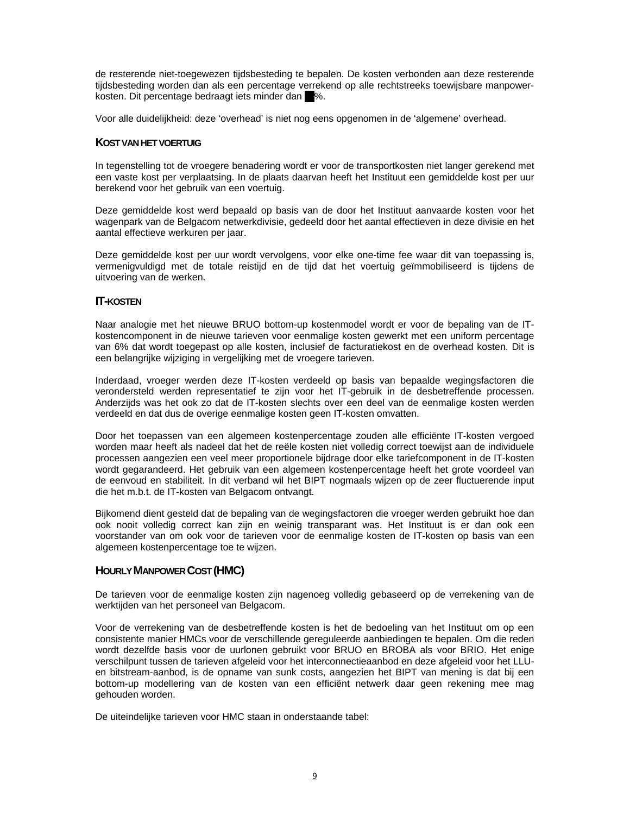de resterende niet-toegewezen tijdsbesteding te bepalen. De kosten verbonden aan deze resterende tijdsbesteding worden dan als een percentage verrekend op alle rechtstreeks toewijsbare manpowerkosten. Dit percentage bedraagt iets minder dan %.

Voor alle duidelijkheid: deze 'overhead' is niet nog eens opgenomen in de 'algemene' overhead.

#### **KOST VAN HET VOERTUIG**

In tegenstelling tot de vroegere benadering wordt er voor de transportkosten niet langer gerekend met een vaste kost per verplaatsing. In de plaats daarvan heeft het Instituut een gemiddelde kost per uur berekend voor het gebruik van een voertuig.

Deze gemiddelde kost werd bepaald op basis van de door het Instituut aanvaarde kosten voor het wagenpark van de Belgacom netwerkdivisie, gedeeld door het aantal effectieven in deze divisie en het aantal effectieve werkuren per jaar.

Deze gemiddelde kost per uur wordt vervolgens, voor elke one-time fee waar dit van toepassing is, vermenigvuldigd met de totale reistijd en de tijd dat het voertuig geïmmobiliseerd is tijdens de uitvoering van de werken.

#### **IT-KOSTEN**

Naar analogie met het nieuwe BRUO bottom-up kostenmodel wordt er voor de bepaling van de ITkostencomponent in de nieuwe tarieven voor eenmalige kosten gewerkt met een uniform percentage van 6% dat wordt toegepast op alle kosten, inclusief de facturatiekost en de overhead kosten. Dit is een belangrijke wijziging in vergelijking met de vroegere tarieven.

Inderdaad, vroeger werden deze IT-kosten verdeeld op basis van bepaalde wegingsfactoren die verondersteld werden representatief te zijn voor het IT-gebruik in de desbetreffende processen. Anderzijds was het ook zo dat de IT-kosten slechts over een deel van de eenmalige kosten werden verdeeld en dat dus de overige eenmalige kosten geen IT-kosten omvatten.

Door het toepassen van een algemeen kostenpercentage zouden alle efficiënte IT-kosten vergoed worden maar heeft als nadeel dat het de reële kosten niet volledig correct toewijst aan de individuele processen aangezien een veel meer proportionele bijdrage door elke tariefcomponent in de IT-kosten wordt gegarandeerd. Het gebruik van een algemeen kostenpercentage heeft het grote voordeel van de eenvoud en stabiliteit. In dit verband wil het BIPT nogmaals wijzen op de zeer fluctuerende input die het m.b.t. de IT-kosten van Belgacom ontvangt.

Bijkomend dient gesteld dat de bepaling van de wegingsfactoren die vroeger werden gebruikt hoe dan ook nooit volledig correct kan zijn en weinig transparant was. Het Instituut is er dan ook een voorstander van om ook voor de tarieven voor de eenmalige kosten de IT-kosten op basis van een algemeen kostenpercentage toe te wijzen.

### **HOURLY MANPOWER COST (HMC)**

De tarieven voor de eenmalige kosten zijn nagenoeg volledig gebaseerd op de verrekening van de werktijden van het personeel van Belgacom.

Voor de verrekening van de desbetreffende kosten is het de bedoeling van het Instituut om op een consistente manier HMCs voor de verschillende gereguleerde aanbiedingen te bepalen. Om die reden wordt dezelfde basis voor de uurlonen gebruikt voor BRUO en BROBA als voor BRIO. Het enige verschilpunt tussen de tarieven afgeleid voor het interconnectieaanbod en deze afgeleid voor het LLUen bitstream-aanbod, is de opname van sunk costs, aangezien het BIPT van mening is dat bij een bottom-up modellering van de kosten van een efficiënt netwerk daar geen rekening mee mag gehouden worden.

De uiteindelijke tarieven voor HMC staan in onderstaande tabel: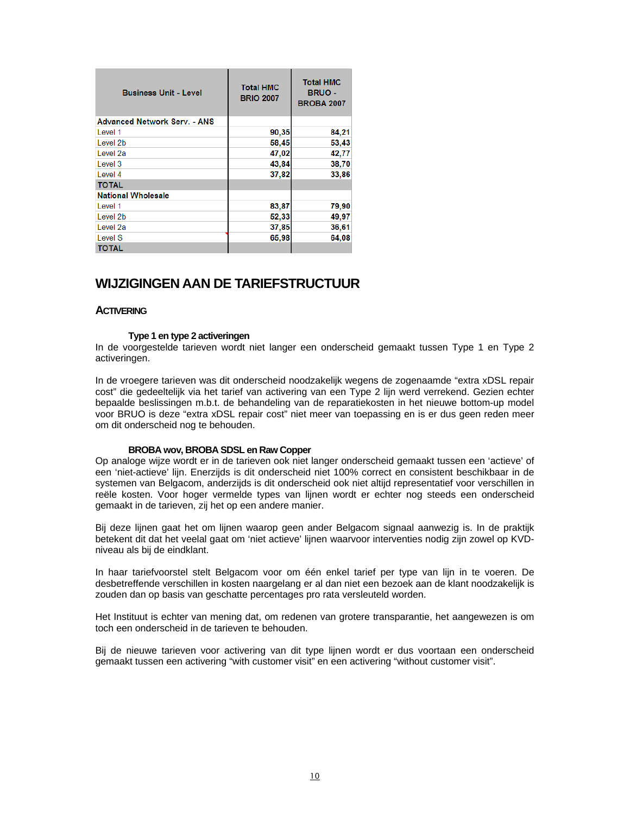| <b>Business Unit - Level</b>        | <b>Total HMC</b><br><b>BRIO 2007</b> | <b>Total HMC</b><br><b>BRUO-</b><br><b>BROBA 2007</b> |
|-------------------------------------|--------------------------------------|-------------------------------------------------------|
| <b>Advanced Network Serv. - ANS</b> |                                      |                                                       |
| Level 1                             | 90,35                                | 84,21                                                 |
| Level 2b                            | 58,45                                | 53,43                                                 |
| Level 2a                            | 47,02                                | 42,77                                                 |
| Level 3                             | 43,84                                | 38,70                                                 |
| Level 4                             | 37,82                                | 33,86                                                 |
| <b>TOTAL</b>                        |                                      |                                                       |
| <b>National Wholesale</b>           |                                      |                                                       |
| Level 1                             | 83,87                                | 79,90                                                 |
| Level 2b                            | 52,33                                | 49.97                                                 |
| Level 2a                            | 37,85                                | 36,61                                                 |
| Level S                             | 65,98                                | 64,08                                                 |
| <b>TOTAL</b>                        |                                      |                                                       |

## **WIJZIGINGEN AAN DE TARIEFSTRUCTUUR**

#### **ACTIVERING**

#### **Type 1 en type 2 activeringen**

In de voorgestelde tarieven wordt niet langer een onderscheid gemaakt tussen Type 1 en Type 2 activeringen.

In de vroegere tarieven was dit onderscheid noodzakelijk wegens de zogenaamde "extra xDSL repair cost" die gedeeltelijk via het tarief van activering van een Type 2 lijn werd verrekend. Gezien echter bepaalde beslissingen m.b.t. de behandeling van de reparatiekosten in het nieuwe bottom-up model voor BRUO is deze "extra xDSL repair cost" niet meer van toepassing en is er dus geen reden meer om dit onderscheid nog te behouden.

#### **BROBA wov, BROBA SDSL en Raw Copper**

Op analoge wijze wordt er in de tarieven ook niet langer onderscheid gemaakt tussen een 'actieve' of een 'niet-actieve' lijn. Enerzijds is dit onderscheid niet 100% correct en consistent beschikbaar in de systemen van Belgacom, anderzijds is dit onderscheid ook niet altijd representatief voor verschillen in reële kosten. Voor hoger vermelde types van lijnen wordt er echter nog steeds een onderscheid gemaakt in de tarieven, zij het op een andere manier.

Bij deze lijnen gaat het om lijnen waarop geen ander Belgacom signaal aanwezig is. In de praktijk betekent dit dat het veelal gaat om 'niet actieve' lijnen waarvoor interventies nodig zijn zowel op KVDniveau als bij de eindklant.

In haar tariefvoorstel stelt Belgacom voor om één enkel tarief per type van lijn in te voeren. De desbetreffende verschillen in kosten naargelang er al dan niet een bezoek aan de klant noodzakelijk is zouden dan op basis van geschatte percentages pro rata versleuteld worden.

Het Instituut is echter van mening dat, om redenen van grotere transparantie, het aangewezen is om toch een onderscheid in de tarieven te behouden.

Bij de nieuwe tarieven voor activering van dit type lijnen wordt er dus voortaan een onderscheid gemaakt tussen een activering "with customer visit" en een activering "without customer visit".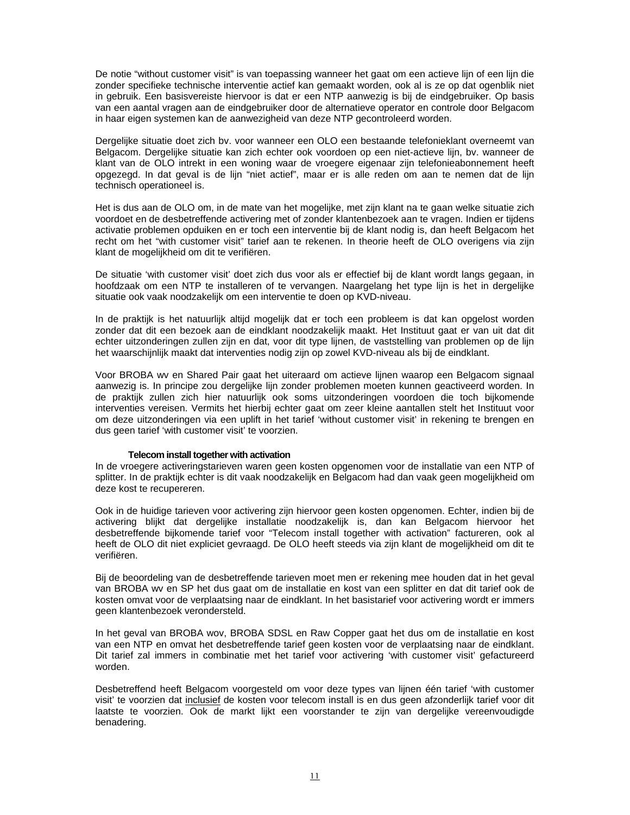De notie "without customer visit" is van toepassing wanneer het gaat om een actieve lijn of een lijn die zonder specifieke technische interventie actief kan gemaakt worden, ook al is ze op dat ogenblik niet in gebruik. Een basisvereiste hiervoor is dat er een NTP aanwezig is bij de eindgebruiker. Op basis van een aantal vragen aan de eindgebruiker door de alternatieve operator en controle door Belgacom in haar eigen systemen kan de aanwezigheid van deze NTP gecontroleerd worden.

Dergelijke situatie doet zich bv. voor wanneer een OLO een bestaande telefonieklant overneemt van Belgacom. Dergelijke situatie kan zich echter ook voordoen op een niet-actieve lijn, bv. wanneer de klant van de OLO intrekt in een woning waar de vroegere eigenaar zijn telefonieabonnement heeft opgezegd. In dat geval is de lijn "niet actief", maar er is alle reden om aan te nemen dat de lijn technisch operationeel is.

Het is dus aan de OLO om, in de mate van het mogelijke, met zijn klant na te gaan welke situatie zich voordoet en de desbetreffende activering met of zonder klantenbezoek aan te vragen. Indien er tijdens activatie problemen opduiken en er toch een interventie bij de klant nodig is, dan heeft Belgacom het recht om het "with customer visit" tarief aan te rekenen. In theorie heeft de OLO overigens via zijn klant de mogelijkheid om dit te verifiëren.

De situatie 'with customer visit' doet zich dus voor als er effectief bij de klant wordt langs gegaan, in hoofdzaak om een NTP te installeren of te vervangen. Naargelang het type lijn is het in dergelijke situatie ook vaak noodzakelijk om een interventie te doen op KVD-niveau.

In de praktijk is het natuurlijk altijd mogelijk dat er toch een probleem is dat kan opgelost worden zonder dat dit een bezoek aan de eindklant noodzakelijk maakt. Het Instituut gaat er van uit dat dit echter uitzonderingen zullen zijn en dat, voor dit type lijnen, de vaststelling van problemen op de lijn het waarschijnlijk maakt dat interventies nodig zijn op zowel KVD-niveau als bij de eindklant.

Voor BROBA wv en Shared Pair gaat het uiteraard om actieve lijnen waarop een Belgacom signaal aanwezig is. In principe zou dergelijke lijn zonder problemen moeten kunnen geactiveerd worden. In de praktijk zullen zich hier natuurlijk ook soms uitzonderingen voordoen die toch bijkomende interventies vereisen. Vermits het hierbij echter gaat om zeer kleine aantallen stelt het Instituut voor om deze uitzonderingen via een uplift in het tarief 'without customer visit' in rekening te brengen en dus geen tarief 'with customer visit' te voorzien.

#### **Telecom install together with activation**

In de vroegere activeringstarieven waren geen kosten opgenomen voor de installatie van een NTP of splitter. In de praktijk echter is dit vaak noodzakelijk en Belgacom had dan vaak geen mogelijkheid om deze kost te recupereren.

Ook in de huidige tarieven voor activering zijn hiervoor geen kosten opgenomen. Echter, indien bij de activering blijkt dat dergelijke installatie noodzakelijk is, dan kan Belgacom hiervoor het desbetreffende bijkomende tarief voor "Telecom install together with activation" factureren, ook al heeft de OLO dit niet expliciet gevraagd. De OLO heeft steeds via zijn klant de mogelijkheid om dit te verifiëren.

Bij de beoordeling van de desbetreffende tarieven moet men er rekening mee houden dat in het geval van BROBA wv en SP het dus gaat om de installatie en kost van een splitter en dat dit tarief ook de kosten omvat voor de verplaatsing naar de eindklant. In het basistarief voor activering wordt er immers geen klantenbezoek verondersteld.

In het geval van BROBA wov, BROBA SDSL en Raw Copper gaat het dus om de installatie en kost van een NTP en omvat het desbetreffende tarief geen kosten voor de verplaatsing naar de eindklant. Dit tarief zal immers in combinatie met het tarief voor activering 'with customer visit' gefactureerd worden.

Desbetreffend heeft Belgacom voorgesteld om voor deze types van lijnen één tarief 'with customer visit' te voorzien dat inclusief de kosten voor telecom install is en dus geen afzonderlijk tarief voor dit laatste te voorzien. Ook de markt lijkt een voorstander te zijn van dergelijke vereenvoudigde benadering.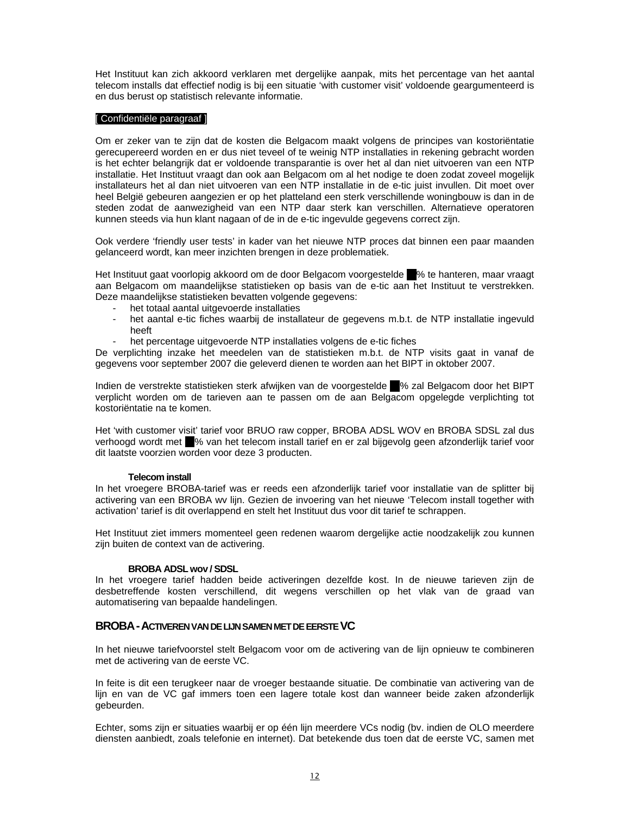Het Instituut kan zich akkoord verklaren met dergelijke aanpak, mits het percentage van het aantal telecom installs dat effectief nodig is bij een situatie 'with customer visit' voldoende geargumenteerd is en dus berust op statistisch relevante informatie.

### [ Confidentiële paragraaf ]

Om er zeker van te zijn dat de kosten die Belgacom maakt volgens de principes van kostoriëntatie gerecupereerd worden en er dus niet teveel of te weinig NTP installaties in rekening gebracht worden is het echter belangrijk dat er voldoende transparantie is over het al dan niet uitvoeren van een NTP installatie. Het Instituut vraagt dan ook aan Belgacom om al het nodige te doen zodat zoveel mogelijk installateurs het al dan niet uitvoeren van een NTP installatie in de e-tic juist invullen. Dit moet over heel België gebeuren aangezien er op het platteland een sterk verschillende woningbouw is dan in de steden zodat de aanwezigheid van een NTP daar sterk kan verschillen. Alternatieve operatoren kunnen steeds via hun klant nagaan of de in de e-tic ingevulde gegevens correct zijn.

Ook verdere 'friendly user tests' in kader van het nieuwe NTP proces dat binnen een paar maanden gelanceerd wordt, kan meer inzichten brengen in deze problematiek.

Het Instituut gaat voorlopig akkoord om de door Belgacom voorgestelde % te hanteren, maar vraagt aan Belgacom om maandelijkse statistieken op basis van de e-tic aan het Instituut te verstrekken. Deze maandelijkse statistieken bevatten volgende gegevens:

- het totaal aantal uitgevoerde installaties
- het aantal e-tic fiches waarbij de installateur de gegevens m.b.t. de NTP installatie ingevuld heeft
- het percentage uitgevoerde NTP installaties volgens de e-tic fiches

De verplichting inzake het meedelen van de statistieken m.b.t. de NTP visits gaat in vanaf de gegevens voor september 2007 die geleverd dienen te worden aan het BIPT in oktober 2007.

Indien de verstrekte statistieken sterk afwijken van de voorgestelde --% zal Belgacom door het BIPT verplicht worden om de tarieven aan te passen om de aan Belgacom opgelegde verplichting tot kostoriëntatie na te komen.

Het 'with customer visit' tarief voor BRUO raw copper, BROBA ADSL WOV en BROBA SDSL zal dus verhoogd wordt met -% van het telecom install tarief en er zal bijgevolg geen afzonderlijk tarief voor dit laatste voorzien worden voor deze 3 producten.

#### **Telecom install**

In het vroegere BROBA-tarief was er reeds een afzonderlijk tarief voor installatie van de splitter bij activering van een BROBA wv lijn. Gezien de invoering van het nieuwe 'Telecom install together with activation' tarief is dit overlappend en stelt het Instituut dus voor dit tarief te schrappen.

Het Instituut ziet immers momenteel geen redenen waarom dergelijke actie noodzakelijk zou kunnen zijn buiten de context van de activering.

#### **BROBA ADSL wov / SDSL**

In het vroegere tarief hadden beide activeringen dezelfde kost. In de nieuwe tarieven zijn de desbetreffende kosten verschillend, dit wegens verschillen op het vlak van de graad van automatisering van bepaalde handelingen.

### **BROBA-ACTIVEREN VAN DE LIJN SAMEN MET DE EERSTE VC**

In het nieuwe tariefvoorstel stelt Belgacom voor om de activering van de lijn opnieuw te combineren met de activering van de eerste VC.

In feite is dit een terugkeer naar de vroeger bestaande situatie. De combinatie van activering van de lijn en van de VC gaf immers toen een lagere totale kost dan wanneer beide zaken afzonderlijk gebeurden.

Echter, soms zijn er situaties waarbij er op één lijn meerdere VCs nodig (bv. indien de OLO meerdere diensten aanbiedt, zoals telefonie en internet). Dat betekende dus toen dat de eerste VC, samen met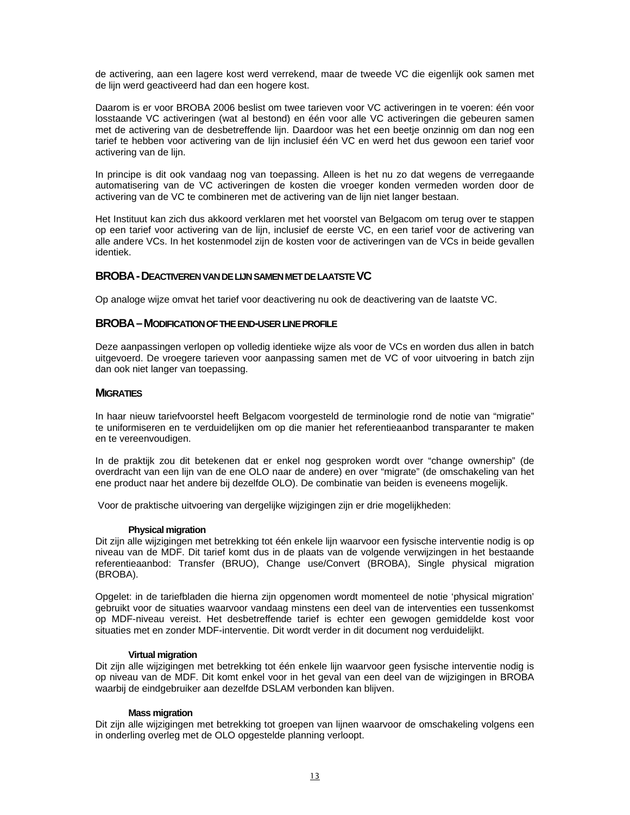de activering, aan een lagere kost werd verrekend, maar de tweede VC die eigenlijk ook samen met de lijn werd geactiveerd had dan een hogere kost.

Daarom is er voor BROBA 2006 beslist om twee tarieven voor VC activeringen in te voeren: één voor losstaande VC activeringen (wat al bestond) en één voor alle VC activeringen die gebeuren samen met de activering van de desbetreffende lijn. Daardoor was het een beetje onzinnig om dan nog een tarief te hebben voor activering van de lijn inclusief één VC en werd het dus gewoon een tarief voor activering van de lijn.

In principe is dit ook vandaag nog van toepassing. Alleen is het nu zo dat wegens de verregaande automatisering van de VC activeringen de kosten die vroeger konden vermeden worden door de activering van de VC te combineren met de activering van de lijn niet langer bestaan.

Het Instituut kan zich dus akkoord verklaren met het voorstel van Belgacom om terug over te stappen op een tarief voor activering van de lijn, inclusief de eerste VC, en een tarief voor de activering van alle andere VCs. In het kostenmodel zijn de kosten voor de activeringen van de VCs in beide gevallen identiek.

#### **BROBA-DEACTIVEREN VAN DE LIJN SAMEN MET DE LAATSTE VC**

Op analoge wijze omvat het tarief voor deactivering nu ook de deactivering van de laatste VC.

#### **BROBA–MODIFICATION OF THE END-USER LINE PROFILE**

Deze aanpassingen verlopen op volledig identieke wijze als voor de VCs en worden dus allen in batch uitgevoerd. De vroegere tarieven voor aanpassing samen met de VC of voor uitvoering in batch zijn dan ook niet langer van toepassing.

#### **MIGRATIES**

In haar nieuw tariefvoorstel heeft Belgacom voorgesteld de terminologie rond de notie van "migratie" te uniformiseren en te verduidelijken om op die manier het referentieaanbod transparanter te maken en te vereenvoudigen.

In de praktijk zou dit betekenen dat er enkel nog gesproken wordt over "change ownership" (de overdracht van een lijn van de ene OLO naar de andere) en over "migrate" (de omschakeling van het ene product naar het andere bij dezelfde OLO). De combinatie van beiden is eveneens mogelijk.

Voor de praktische uitvoering van dergelijke wijzigingen zijn er drie mogelijkheden:

#### **Physical migration**

Dit zijn alle wijzigingen met betrekking tot één enkele lijn waarvoor een fysische interventie nodig is op niveau van de MDF. Dit tarief komt dus in de plaats van de volgende verwijzingen in het bestaande referentieaanbod: Transfer (BRUO), Change use/Convert (BROBA), Single physical migration (BROBA).

Opgelet: in de tariefbladen die hierna zijn opgenomen wordt momenteel de notie 'physical migration' gebruikt voor de situaties waarvoor vandaag minstens een deel van de interventies een tussenkomst op MDF-niveau vereist. Het desbetreffende tarief is echter een gewogen gemiddelde kost voor situaties met en zonder MDF-interventie. Dit wordt verder in dit document nog verduidelijkt.

#### **Virtual migration**

Dit zijn alle wijzigingen met betrekking tot één enkele lijn waarvoor geen fysische interventie nodig is op niveau van de MDF. Dit komt enkel voor in het geval van een deel van de wijzigingen in BROBA waarbij de eindgebruiker aan dezelfde DSLAM verbonden kan blijven.

#### **Mass migration**

Dit zijn alle wijzigingen met betrekking tot groepen van lijnen waarvoor de omschakeling volgens een in onderling overleg met de OLO opgestelde planning verloopt.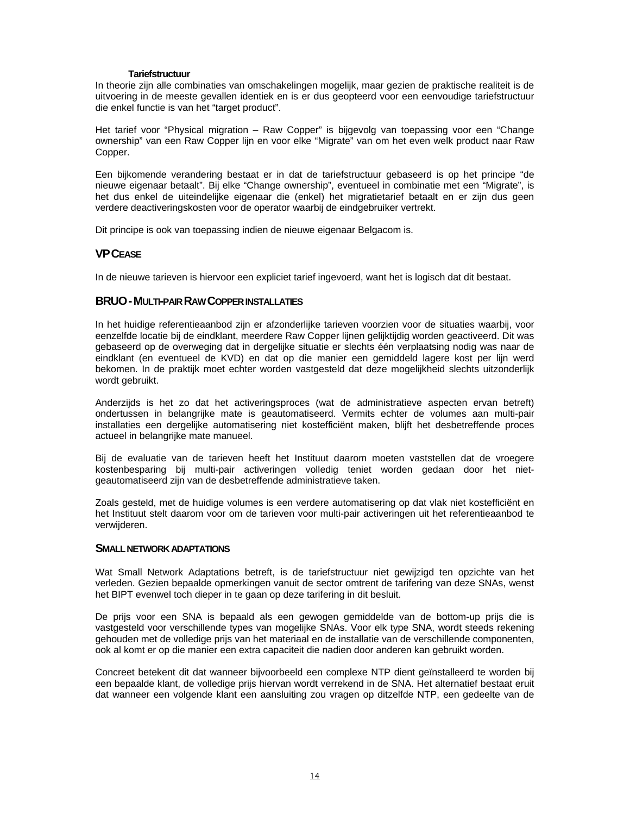#### **Tariefstructuur**

In theorie zijn alle combinaties van omschakelingen mogelijk, maar gezien de praktische realiteit is de uitvoering in de meeste gevallen identiek en is er dus geopteerd voor een eenvoudige tariefstructuur die enkel functie is van het "target product".

Het tarief voor "Physical migration – Raw Copper" is bijgevolg van toepassing voor een "Change ownership" van een Raw Copper lijn en voor elke "Migrate" van om het even welk product naar Raw Copper.

Een bijkomende verandering bestaat er in dat de tariefstructuur gebaseerd is op het principe "de nieuwe eigenaar betaalt". Bij elke "Change ownership", eventueel in combinatie met een "Migrate", is het dus enkel de uiteindelijke eigenaar die (enkel) het migratietarief betaalt en er zijn dus geen verdere deactiveringskosten voor de operator waarbij de eindgebruiker vertrekt.

Dit principe is ook van toepassing indien de nieuwe eigenaar Belgacom is.

#### **VPCEASE**

In de nieuwe tarieven is hiervoor een expliciet tarief ingevoerd, want het is logisch dat dit bestaat.

#### **BRUO-MULTI-PAIR RAW COPPER INSTALLATIES**

In het huidige referentieaanbod zijn er afzonderlijke tarieven voorzien voor de situaties waarbij, voor eenzelfde locatie bij de eindklant, meerdere Raw Copper lijnen gelijktijdig worden geactiveerd. Dit was gebaseerd op de overweging dat in dergelijke situatie er slechts één verplaatsing nodig was naar de eindklant (en eventueel de KVD) en dat op die manier een gemiddeld lagere kost per lijn werd bekomen. In de praktijk moet echter worden vastgesteld dat deze mogelijkheid slechts uitzonderlijk wordt gebruikt.

Anderzijds is het zo dat het activeringsproces (wat de administratieve aspecten ervan betreft) ondertussen in belangrijke mate is geautomatiseerd. Vermits echter de volumes aan multi-pair installaties een dergelijke automatisering niet kostefficiënt maken, blijft het desbetreffende proces actueel in belangrijke mate manueel.

Bij de evaluatie van de tarieven heeft het Instituut daarom moeten vaststellen dat de vroegere kostenbesparing bij multi-pair activeringen volledig teniet worden gedaan door het nietgeautomatiseerd zijn van de desbetreffende administratieve taken.

Zoals gesteld, met de huidige volumes is een verdere automatisering op dat vlak niet kostefficiënt en het Instituut stelt daarom voor om de tarieven voor multi-pair activeringen uit het referentieaanbod te verwijderen.

#### **SMALL NETWORK ADAPTATIONS**

Wat Small Network Adaptations betreft, is de tariefstructuur niet gewijzigd ten opzichte van het verleden. Gezien bepaalde opmerkingen vanuit de sector omtrent de tarifering van deze SNAs, wenst het BIPT evenwel toch dieper in te gaan op deze tarifering in dit besluit.

De prijs voor een SNA is bepaald als een gewogen gemiddelde van de bottom-up prijs die is vastgesteld voor verschillende types van mogelijke SNAs. Voor elk type SNA, wordt steeds rekening gehouden met de volledige prijs van het materiaal en de installatie van de verschillende componenten, ook al komt er op die manier een extra capaciteit die nadien door anderen kan gebruikt worden.

Concreet betekent dit dat wanneer bijvoorbeeld een complexe NTP dient geïnstalleerd te worden bij een bepaalde klant, de volledige prijs hiervan wordt verrekend in de SNA. Het alternatief bestaat eruit dat wanneer een volgende klant een aansluiting zou vragen op ditzelfde NTP, een gedeelte van de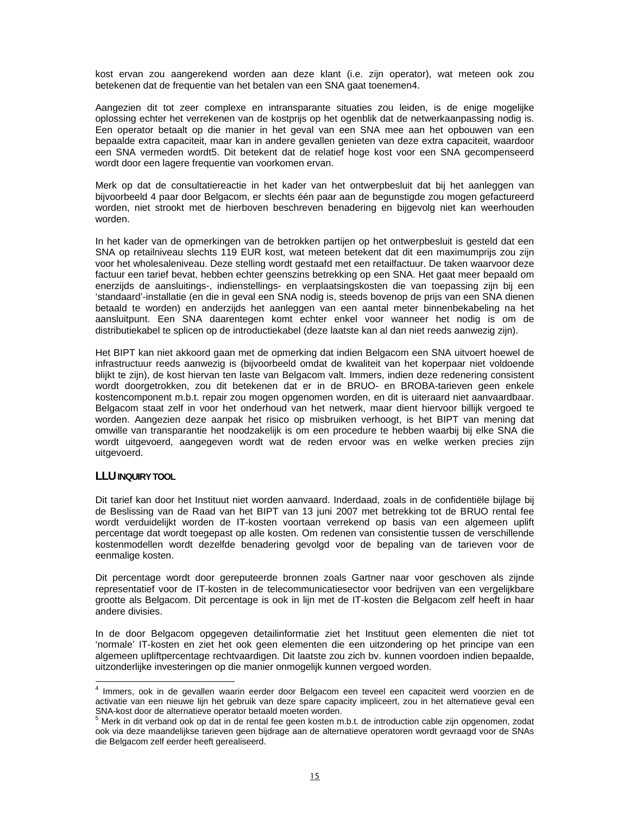kost ervan zou aangerekend worden aan deze klant (i.e. zijn operator), wat meteen ook zou betekenen dat de frequentie van het betalen van een SNA gaat toenemen4.

Aangezien dit tot zeer complexe en intransparante situaties zou leiden, is de enige mogelijke oplossing echter het verrekenen van de kostprijs op het ogenblik dat de netwerkaanpassing nodig is. Een operator betaalt op die manier in het geval van een SNA mee aan het opbouwen van een bepaalde extra capaciteit, maar kan in andere gevallen genieten van deze extra capaciteit, waardoor een SNA vermeden wordt5. Dit betekent dat de relatief hoge kost voor een SNA gecompenseerd wordt door een lagere frequentie van voorkomen ervan.

Merk op dat de consultatiereactie in het kader van het ontwerpbesluit dat bij het aanleggen van bijvoorbeeld 4 paar door Belgacom, er slechts één paar aan de begunstigde zou mogen gefactureerd worden, niet strookt met de hierboven beschreven benadering en bijgevolg niet kan weerhouden worden.

In het kader van de opmerkingen van de betrokken partijen op het ontwerpbesluit is gesteld dat een SNA op retailniveau slechts 119 EUR kost, wat meteen betekent dat dit een maximumprijs zou zijn voor het wholesaleniveau. Deze stelling wordt gestaafd met een retailfactuur. De taken waarvoor deze factuur een tarief bevat, hebben echter geenszins betrekking op een SNA. Het gaat meer bepaald om enerzijds de aansluitings-, indienstellings- en verplaatsingskosten die van toepassing zijn bij een 'standaard'-installatie (en die in geval een SNA nodig is, steeds bovenop de prijs van een SNA dienen betaald te worden) en anderzijds het aanleggen van een aantal meter binnenbekabeling na het aansluitpunt. Een SNA daarentegen komt echter enkel voor wanneer het nodig is om de distributiekabel te splicen op de introductiekabel (deze laatste kan al dan niet reeds aanwezig zijn).

Het BIPT kan niet akkoord gaan met de opmerking dat indien Belgacom een SNA uitvoert hoewel de infrastructuur reeds aanwezig is (bijvoorbeeld omdat de kwaliteit van het koperpaar niet voldoende blijkt te zijn), de kost hiervan ten laste van Belgacom valt. Immers, indien deze redenering consistent wordt doorgetrokken, zou dit betekenen dat er in de BRUO- en BROBA-tarieven geen enkele kostencomponent m.b.t. repair zou mogen opgenomen worden, en dit is uiteraard niet aanvaardbaar. Belgacom staat zelf in voor het onderhoud van het netwerk, maar dient hiervoor billijk vergoed te worden. Aangezien deze aanpak het risico op misbruiken verhoogt, is het BIPT van mening dat omwille van transparantie het noodzakelijk is om een procedure te hebben waarbij bij elke SNA die wordt uitgevoerd, aangegeven wordt wat de reden ervoor was en welke werken precies zijn uitgevoerd.

### **LLU INQUIRY TOOL**

Dit tarief kan door het Instituut niet worden aanvaard. Inderdaad, zoals in de confidentiële bijlage bij de Beslissing van de Raad van het BIPT van 13 juni 2007 met betrekking tot de BRUO rental fee wordt verduidelijkt worden de IT-kosten voortaan verrekend op basis van een algemeen uplift percentage dat wordt toegepast op alle kosten. Om redenen van consistentie tussen de verschillende kostenmodellen wordt dezelfde benadering gevolgd voor de bepaling van de tarieven voor de eenmalige kosten.

Dit percentage wordt door gereputeerde bronnen zoals Gartner naar voor geschoven als zijnde representatief voor de IT-kosten in de telecommunicatiesector voor bedrijven van een vergelijkbare grootte als Belgacom. Dit percentage is ook in lijn met de IT-kosten die Belgacom zelf heeft in haar andere divisies.

In de door Belgacom opgegeven detailinformatie ziet het Instituut geen elementen die niet tot 'normale' IT-kosten en ziet het ook geen elementen die een uitzondering op het principe van een algemeen upliftpercentage rechtvaardigen. Dit laatste zou zich bv. kunnen voordoen indien bepaalde, uitzonderlijke investeringen op die manier onmogelijk kunnen vergoed worden.

 4 Immers, ook in de gevallen waarin eerder door Belgacom een teveel een capaciteit werd voorzien en de activatie van een nieuwe lijn het gebruik van deze spare capacity impliceert, zou in het alternatieve geval een SNA-kost door de alternatieve operator betaald moeten worden.<br><sup>5</sup> Merk in dit verband ook op dat in de rental fee geen kosten m.b.t. de introduction cable zijn opgenomen, zodat

ook via deze maandelijkse tarieven geen bijdrage aan de alternatieve operatoren wordt gevraagd voor de SNAs die Belgacom zelf eerder heeft gerealiseerd.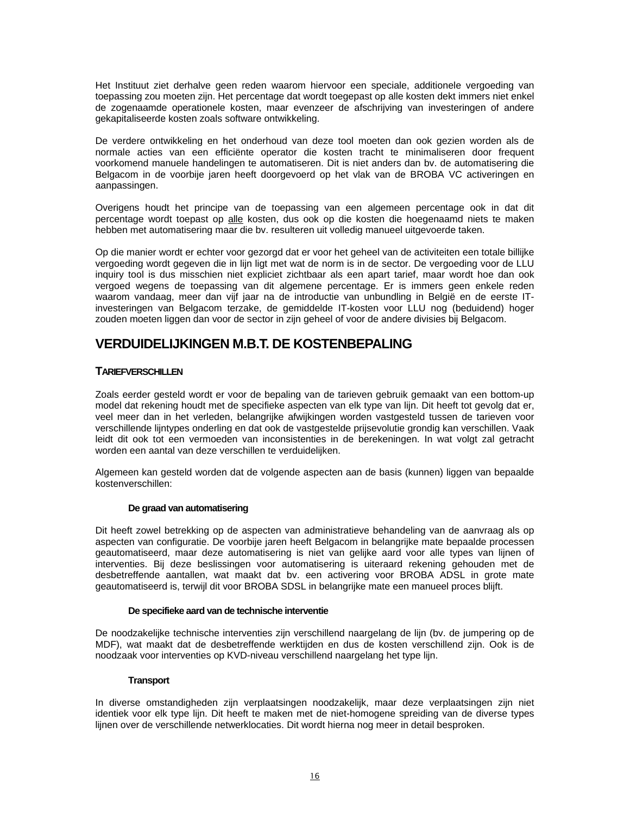Het Instituut ziet derhalve geen reden waarom hiervoor een speciale, additionele vergoeding van toepassing zou moeten zijn. Het percentage dat wordt toegepast op alle kosten dekt immers niet enkel de zogenaamde operationele kosten, maar evenzeer de afschrijving van investeringen of andere gekapitaliseerde kosten zoals software ontwikkeling.

De verdere ontwikkeling en het onderhoud van deze tool moeten dan ook gezien worden als de normale acties van een efficiënte operator die kosten tracht te minimaliseren door frequent voorkomend manuele handelingen te automatiseren. Dit is niet anders dan bv. de automatisering die Belgacom in de voorbije jaren heeft doorgevoerd op het vlak van de BROBA VC activeringen en aanpassingen.

Overigens houdt het principe van de toepassing van een algemeen percentage ook in dat dit percentage wordt toepast op alle kosten, dus ook op die kosten die hoegenaamd niets te maken hebben met automatisering maar die bv. resulteren uit volledig manueel uitgevoerde taken.

Op die manier wordt er echter voor gezorgd dat er voor het geheel van de activiteiten een totale billijke vergoeding wordt gegeven die in lijn ligt met wat de norm is in de sector. De vergoeding voor de LLU inquiry tool is dus misschien niet expliciet zichtbaar als een apart tarief, maar wordt hoe dan ook vergoed wegens de toepassing van dit algemene percentage. Er is immers geen enkele reden waarom vandaag, meer dan vijf jaar na de introductie van unbundling in België en de eerste ITinvesteringen van Belgacom terzake, de gemiddelde IT-kosten voor LLU nog (beduidend) hoger zouden moeten liggen dan voor de sector in zijn geheel of voor de andere divisies bij Belgacom.

## **VERDUIDELIJKINGEN M.B.T. DE KOSTENBEPALING**

### **TARIEFVERSCHILLEN**

Zoals eerder gesteld wordt er voor de bepaling van de tarieven gebruik gemaakt van een bottom-up model dat rekening houdt met de specifieke aspecten van elk type van lijn. Dit heeft tot gevolg dat er, veel meer dan in het verleden, belangrijke afwijkingen worden vastgesteld tussen de tarieven voor verschillende lijntypes onderling en dat ook de vastgestelde prijsevolutie grondig kan verschillen. Vaak leidt dit ook tot een vermoeden van inconsistenties in de berekeningen. In wat volgt zal getracht worden een aantal van deze verschillen te verduidelijken.

Algemeen kan gesteld worden dat de volgende aspecten aan de basis (kunnen) liggen van bepaalde kostenverschillen:

### **De graad van automatisering**

Dit heeft zowel betrekking op de aspecten van administratieve behandeling van de aanvraag als op aspecten van configuratie. De voorbije jaren heeft Belgacom in belangrijke mate bepaalde processen geautomatiseerd, maar deze automatisering is niet van gelijke aard voor alle types van lijnen of interventies. Bij deze beslissingen voor automatisering is uiteraard rekening gehouden met de desbetreffende aantallen, wat maakt dat bv. een activering voor BROBA ADSL in grote mate geautomatiseerd is, terwijl dit voor BROBA SDSL in belangrijke mate een manueel proces blijft.

#### **De specifieke aard van de technische interventie**

De noodzakelijke technische interventies zijn verschillend naargelang de lijn (bv. de jumpering op de MDF), wat maakt dat de desbetreffende werktijden en dus de kosten verschillend zijn. Ook is de noodzaak voor interventies op KVD-niveau verschillend naargelang het type lijn.

#### **Transport**

In diverse omstandigheden zijn verplaatsingen noodzakelijk, maar deze verplaatsingen zijn niet identiek voor elk type lijn. Dit heeft te maken met de niet-homogene spreiding van de diverse types lijnen over de verschillende netwerklocaties. Dit wordt hierna nog meer in detail besproken.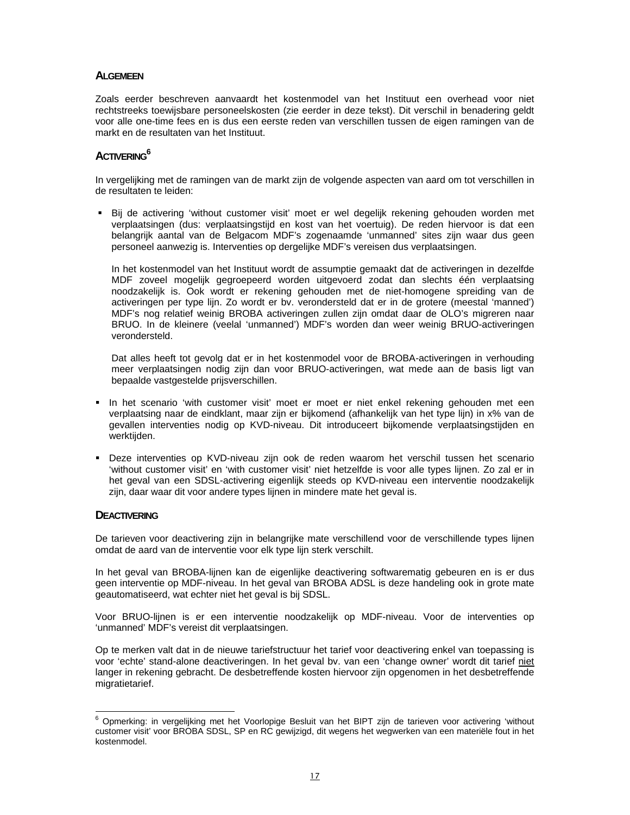### **ALGEMEEN**

Zoals eerder beschreven aanvaardt het kostenmodel van het Instituut een overhead voor niet rechtstreeks toewijsbare personeelskosten (zie eerder in deze tekst). Dit verschil in benadering geldt voor alle one-time fees en is dus een eerste reden van verschillen tussen de eigen ramingen van de markt en de resultaten van het Instituut.

### ACTIVERING<sup>6</sup>

In vergelijking met de ramingen van de markt zijn de volgende aspecten van aard om tot verschillen in de resultaten te leiden:

 Bij de activering 'without customer visit' moet er wel degelijk rekening gehouden worden met verplaatsingen (dus: verplaatsingstijd en kost van het voertuig). De reden hiervoor is dat een belangrijk aantal van de Belgacom MDF's zogenaamde 'unmanned' sites zijn waar dus geen personeel aanwezig is. Interventies op dergelijke MDF's vereisen dus verplaatsingen.

In het kostenmodel van het Instituut wordt de assumptie gemaakt dat de activeringen in dezelfde MDF zoveel mogelijk gegroepeerd worden uitgevoerd zodat dan slechts één verplaatsing noodzakelijk is. Ook wordt er rekening gehouden met de niet-homogene spreiding van de activeringen per type lijn. Zo wordt er bv. verondersteld dat er in de grotere (meestal 'manned') MDF's nog relatief weinig BROBA activeringen zullen zijn omdat daar de OLO's migreren naar BRUO. In de kleinere (veelal 'unmanned') MDF's worden dan weer weinig BRUO-activeringen verondersteld.

Dat alles heeft tot gevolg dat er in het kostenmodel voor de BROBA-activeringen in verhouding meer verplaatsingen nodig zijn dan voor BRUO-activeringen, wat mede aan de basis ligt van bepaalde vastgestelde prijsverschillen.

- In het scenario 'with customer visit' moet er moet er niet enkel rekening gehouden met een verplaatsing naar de eindklant, maar zijn er bijkomend (afhankelijk van het type lijn) in x% van de gevallen interventies nodig op KVD-niveau. Dit introduceert bijkomende verplaatsingstijden en werktijden.
- Deze interventies op KVD-niveau zijn ook de reden waarom het verschil tussen het scenario 'without customer visit' en 'with customer visit' niet hetzelfde is voor alle types lijnen. Zo zal er in het geval van een SDSL-activering eigenlijk steeds op KVD-niveau een interventie noodzakelijk zijn, daar waar dit voor andere types lijnen in mindere mate het geval is.

### **DEACTIVERING**

De tarieven voor deactivering zijn in belangrijke mate verschillend voor de verschillende types lijnen omdat de aard van de interventie voor elk type lijn sterk verschilt.

In het geval van BROBA-lijnen kan de eigenlijke deactivering softwarematig gebeuren en is er dus geen interventie op MDF-niveau. In het geval van BROBA ADSL is deze handeling ook in grote mate geautomatiseerd, wat echter niet het geval is bij SDSL.

Voor BRUO-lijnen is er een interventie noodzakelijk op MDF-niveau. Voor de interventies op 'unmanned' MDF's vereist dit verplaatsingen.

Op te merken valt dat in de nieuwe tariefstructuur het tarief voor deactivering enkel van toepassing is voor 'echte' stand-alone deactiveringen. In het geval bv. van een 'change owner' wordt dit tarief niet langer in rekening gebracht. De desbetreffende kosten hiervoor zijn opgenomen in het desbetreffende migratietarief.

 6 Opmerking: in vergelijking met het Voorlopige Besluit van het BIPT zijn de tarieven voor activering 'without customer visit' voor BROBA SDSL, SP en RC gewijzigd, dit wegens het wegwerken van een materiële fout in het kostenmodel.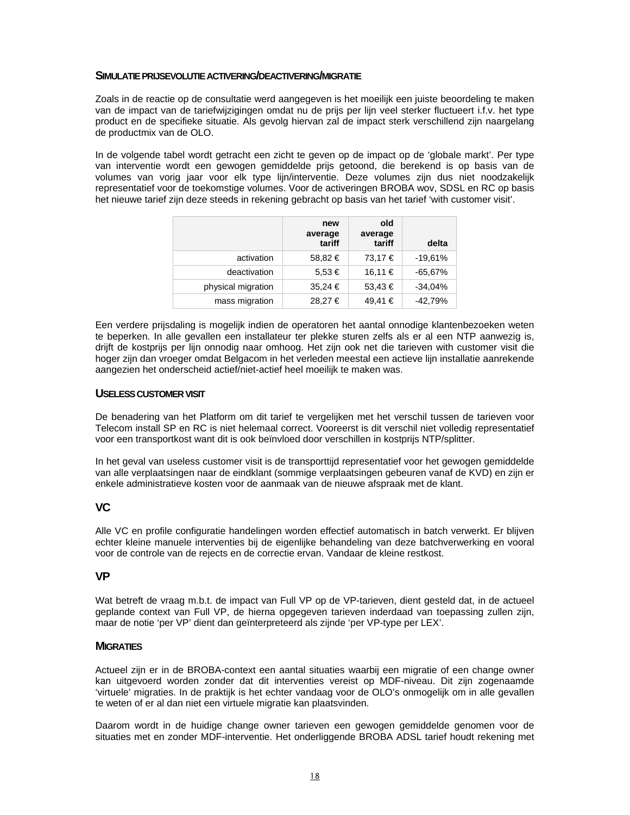#### **SIMULATIE PRIJSEVOLUTIE ACTIVERING/DEACTIVERING/MIGRATIE**

Zoals in de reactie op de consultatie werd aangegeven is het moeilijk een juiste beoordeling te maken van de impact van de tariefwijzigingen omdat nu de prijs per lijn veel sterker fluctueert i.f.v. het type product en de specifieke situatie. Als gevolg hiervan zal de impact sterk verschillend zijn naargelang de productmix van de OLO.

In de volgende tabel wordt getracht een zicht te geven op de impact op de 'globale markt'. Per type van interventie wordt een gewogen gemiddelde prijs getoond, die berekend is op basis van de volumes van vorig jaar voor elk type lijn/interventie. Deze volumes zijn dus niet noodzakelijk representatief voor de toekomstige volumes. Voor de activeringen BROBA wov, SDSL en RC op basis het nieuwe tarief zijn deze steeds in rekening gebracht op basis van het tarief 'with customer visit'.

|                    | new<br>average<br>tariff | old<br>average<br>tariff | delta     |
|--------------------|--------------------------|--------------------------|-----------|
| activation         | 58,82 €                  | 73,17 €                  | $-19,61%$ |
| deactivation       | $5.53 \in$               | 16,11 €                  | $-65,67%$ |
| physical migration | 35,24 €                  | 53,43 €                  | $-34,04%$ |
| mass migration     | 28,27 €                  | 49,41 €                  | $-42,79%$ |

Een verdere prijsdaling is mogelijk indien de operatoren het aantal onnodige klantenbezoeken weten te beperken. In alle gevallen een installateur ter plekke sturen zelfs als er al een NTP aanwezig is, drijft de kostprijs per lijn onnodig naar omhoog. Het zijn ook net die tarieven with customer visit die hoger zijn dan vroeger omdat Belgacom in het verleden meestal een actieve lijn installatie aanrekende aangezien het onderscheid actief/niet-actief heel moeilijk te maken was.

#### **USELESS CUSTOMER VISIT**

De benadering van het Platform om dit tarief te vergelijken met het verschil tussen de tarieven voor Telecom install SP en RC is niet helemaal correct. Vooreerst is dit verschil niet volledig representatief voor een transportkost want dit is ook beïnvloed door verschillen in kostprijs NTP/splitter.

In het geval van useless customer visit is de transporttijd representatief voor het gewogen gemiddelde van alle verplaatsingen naar de eindklant (sommige verplaatsingen gebeuren vanaf de KVD) en zijn er enkele administratieve kosten voor de aanmaak van de nieuwe afspraak met de klant.

### **VC**

Alle VC en profile configuratie handelingen worden effectief automatisch in batch verwerkt. Er blijven echter kleine manuele interventies bij de eigenlijke behandeling van deze batchverwerking en vooral voor de controle van de rejects en de correctie ervan. Vandaar de kleine restkost.

### **VP**

Wat betreft de vraag m.b.t. de impact van Full VP op de VP-tarieven, dient gesteld dat, in de actueel geplande context van Full VP, de hierna opgegeven tarieven inderdaad van toepassing zullen zijn, maar de notie 'per VP' dient dan geïnterpreteerd als zijnde 'per VP-type per LEX'.

### **MIGRATIES**

Actueel zijn er in de BROBA-context een aantal situaties waarbij een migratie of een change owner kan uitgevoerd worden zonder dat dit interventies vereist op MDF-niveau. Dit zijn zogenaamde 'virtuele' migraties. In de praktijk is het echter vandaag voor de OLO's onmogelijk om in alle gevallen te weten of er al dan niet een virtuele migratie kan plaatsvinden.

Daarom wordt in de huidige change owner tarieven een gewogen gemiddelde genomen voor de situaties met en zonder MDF-interventie. Het onderliggende BROBA ADSL tarief houdt rekening met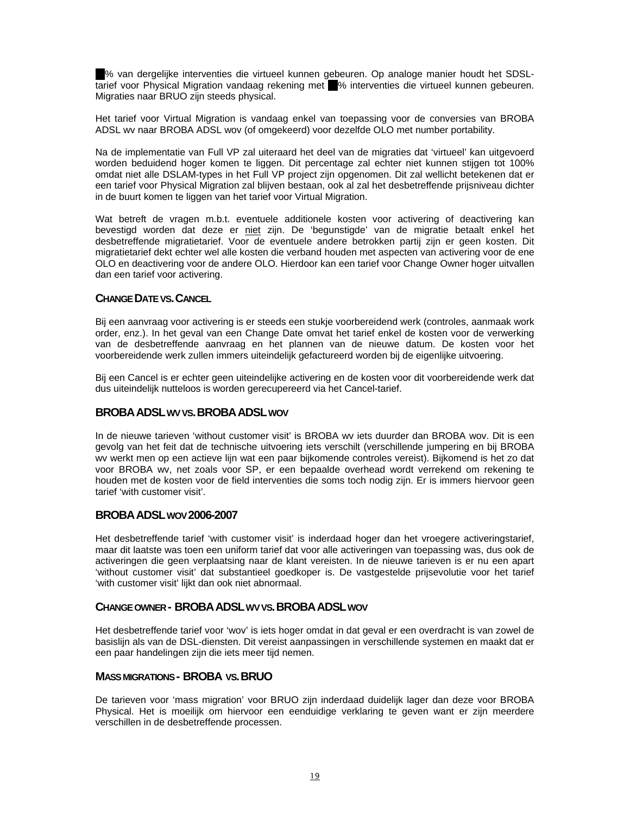% van dergelijke interventies die virtueel kunnen gebeuren. Op analoge manier houdt het SDSLtarief voor Physical Migration vandaag rekening met % interventies die virtueel kunnen gebeuren. Migraties naar BRUO zijn steeds physical.

Het tarief voor Virtual Migration is vandaag enkel van toepassing voor de conversies van BROBA ADSL wv naar BROBA ADSL wov (of omgekeerd) voor dezelfde OLO met number portability.

Na de implementatie van Full VP zal uiteraard het deel van de migraties dat 'virtueel' kan uitgevoerd worden beduidend hoger komen te liggen. Dit percentage zal echter niet kunnen stijgen tot 100% omdat niet alle DSLAM-types in het Full VP project zijn opgenomen. Dit zal wellicht betekenen dat er een tarief voor Physical Migration zal blijven bestaan, ook al zal het desbetreffende prijsniveau dichter in de buurt komen te liggen van het tarief voor Virtual Migration.

Wat betreft de vragen m.b.t. eventuele additionele kosten voor activering of deactivering kan bevestigd worden dat deze er niet zijn. De 'begunstigde' van de migratie betaalt enkel het desbetreffende migratietarief. Voor de eventuele andere betrokken partij zijn er geen kosten. Dit migratietarief dekt echter wel alle kosten die verband houden met aspecten van activering voor de ene OLO en deactivering voor de andere OLO. Hierdoor kan een tarief voor Change Owner hoger uitvallen dan een tarief voor activering.

### **CHANGE DATE VS.CANCEL**

Bij een aanvraag voor activering is er steeds een stukje voorbereidend werk (controles, aanmaak work order, enz.). In het geval van een Change Date omvat het tarief enkel de kosten voor de verwerking van de desbetreffende aanvraag en het plannen van de nieuwe datum. De kosten voor het voorbereidende werk zullen immers uiteindelijk gefactureerd worden bij de eigenlijke uitvoering.

Bij een Cancel is er echter geen uiteindelijke activering en de kosten voor dit voorbereidende werk dat dus uiteindelijk nutteloos is worden gerecupereerd via het Cancel-tarief.

### **BROBAADSL WV VS.BROBAADSL WOV**

In de nieuwe tarieven 'without customer visit' is BROBA wv iets duurder dan BROBA wov. Dit is een gevolg van het feit dat de technische uitvoering iets verschilt (verschillende jumpering en bij BROBA wv werkt men op een actieve lijn wat een paar bijkomende controles vereist). Bijkomend is het zo dat voor BROBA wv, net zoals voor SP, er een bepaalde overhead wordt verrekend om rekening te houden met de kosten voor de field interventies die soms toch nodig zijn. Er is immers hiervoor geen tarief 'with customer visit'.

### **BROBAADSL WOV 2006-2007**

Het desbetreffende tarief 'with customer visit' is inderdaad hoger dan het vroegere activeringstarief, maar dit laatste was toen een uniform tarief dat voor alle activeringen van toepassing was, dus ook de activeringen die geen verplaatsing naar de klant vereisten. In de nieuwe tarieven is er nu een apart 'without customer visit' dat substantieel goedkoper is. De vastgestelde prijsevolutie voor het tarief 'with customer visit' lijkt dan ook niet abnormaal.

### **CHANGE OWNER - BROBAADSL WV VS.BROBAADSL WOV**

Het desbetreffende tarief voor 'wov' is iets hoger omdat in dat geval er een overdracht is van zowel de basislijn als van de DSL-diensten. Dit vereist aanpassingen in verschillende systemen en maakt dat er een paar handelingen zijn die iets meer tijd nemen.

### **MASS MIGRATIONS - BROBA VS.BRUO**

De tarieven voor 'mass migration' voor BRUO zijn inderdaad duidelijk lager dan deze voor BROBA Physical. Het is moeilijk om hiervoor een eenduidige verklaring te geven want er zijn meerdere verschillen in de desbetreffende processen.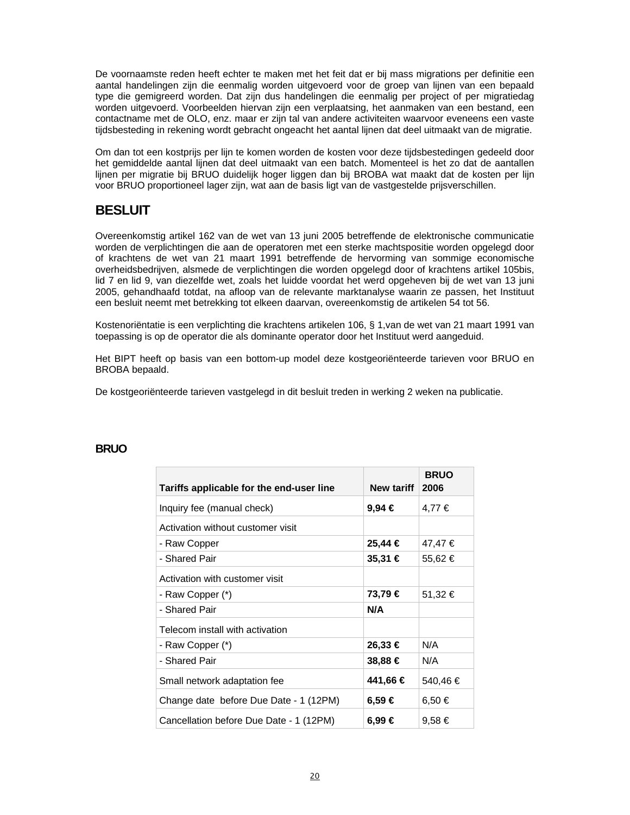De voornaamste reden heeft echter te maken met het feit dat er bij mass migrations per definitie een aantal handelingen zijn die eenmalig worden uitgevoerd voor de groep van lijnen van een bepaald type die gemigreerd worden. Dat zijn dus handelingen die eenmalig per project of per migratiedag worden uitgevoerd. Voorbeelden hiervan zijn een verplaatsing, het aanmaken van een bestand, een contactname met de OLO, enz. maar er zijn tal van andere activiteiten waarvoor eveneens een vaste tijdsbesteding in rekening wordt gebracht ongeacht het aantal lijnen dat deel uitmaakt van de migratie.

Om dan tot een kostprijs per lijn te komen worden de kosten voor deze tijdsbestedingen gedeeld door het gemiddelde aantal lijnen dat deel uitmaakt van een batch. Momenteel is het zo dat de aantallen lijnen per migratie bij BRUO duidelijk hoger liggen dan bij BROBA wat maakt dat de kosten per lijn voor BRUO proportioneel lager zijn, wat aan de basis ligt van de vastgestelde prijsverschillen.

## **BESLUIT**

Overeenkomstig artikel 162 van de wet van 13 juni 2005 betreffende de elektronische communicatie worden de verplichtingen die aan de operatoren met een sterke machtspositie worden opgelegd door of krachtens de wet van 21 maart 1991 betreffende de hervorming van sommige economische overheidsbedrijven, alsmede de verplichtingen die worden opgelegd door of krachtens artikel 105bis, lid 7 en lid 9, van diezelfde wet, zoals het luidde voordat het werd opgeheven bij de wet van 13 juni 2005, gehandhaafd totdat, na afloop van de relevante marktanalyse waarin ze passen, het Instituut een besluit neemt met betrekking tot elkeen daarvan, overeenkomstig de artikelen 54 tot 56.

Kostenoriëntatie is een verplichting die krachtens artikelen 106, § 1,van de wet van 21 maart 1991 van toepassing is op de operator die als dominante operator door het Instituut werd aangeduid.

Het BIPT heeft op basis van een bottom-up model deze kostgeoriënteerde tarieven voor BRUO en BROBA bepaald.

De kostgeoriënteerde tarieven vastgelegd in dit besluit treden in werking 2 weken na publicatie.

| Tariffs applicable for the end-user line | New tariff  | <b>BRUO</b><br>2006 |
|------------------------------------------|-------------|---------------------|
| Inquiry fee (manual check)               | $9,94 \in$  | 4,77 €              |
| Activation without customer visit        |             |                     |
| - Raw Copper                             | 25,44 €     | 47,47 €             |
| - Shared Pair                            | $35,31 \in$ | 55,62 €             |
| Activation with customer visit           |             |                     |
| - Raw Copper (*)                         | 73,79 €     | 51,32 €             |
| - Shared Pair                            | N/A         |                     |
| Telecom install with activation          |             |                     |
| - Raw Copper (*)                         | 26,33 €     | N/A                 |
| - Shared Pair                            | 38,88 €     | N/A                 |
| Small network adaptation fee             | 441,66 €    | 540,46 €            |
| Change date before Due Date - 1 (12PM)   | $6,59 \in$  | 6,50 €              |
| Cancellation before Due Date - 1 (12PM)  | $6,99 \in$  | $9,58 \in$          |

### **BRUO**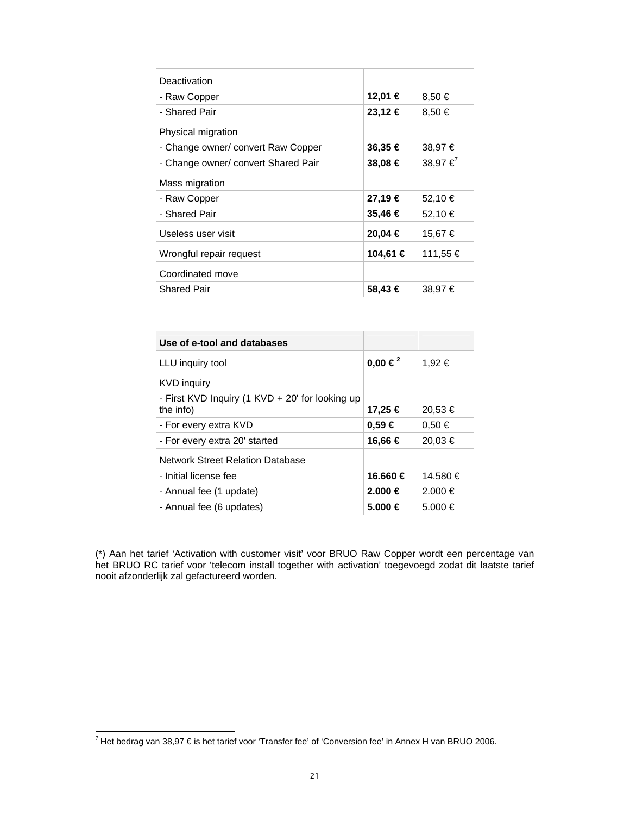| Deactivation                        |             |                   |
|-------------------------------------|-------------|-------------------|
| - Raw Copper                        | 12,01 €     | $8,50 \in$        |
| - Shared Pair                       | $23,12 \in$ | $8,50 \in$        |
| Physical migration                  |             |                   |
| - Change owner/ convert Raw Copper  | 36,35 €     | 38,97 €           |
| - Change owner/ convert Shared Pair | 38,08 €     | 38,97 € $\bar{C}$ |
| Mass migration                      |             |                   |
| - Raw Copper                        | 27,19 €     | 52,10 €           |
| - Shared Pair                       | 35,46 €     | 52,10 €           |
| Useless user visit                  | 20,04 €     | 15,67 €           |
| Wrongful repair request             | 104,61 €    | 111,55 €          |
| Coordinated move                    |             |                   |
| <b>Shared Pair</b>                  | 58,43 €     | 38,97 €           |
|                                     |             |                   |

| Use of e-tool and databases                                  |                         |             |
|--------------------------------------------------------------|-------------------------|-------------|
| LLU inguiry tool                                             | $0,00 \in \mathbb{R}^2$ | 1,92 €      |
| KVD inquiry                                                  |                         |             |
| - First KVD Inquiry (1 KVD + 20' for looking up<br>the info) | 17,25 €                 | 20,53 €     |
| - For every extra KVD                                        | $0.59 \in$              | $0.50 \in$  |
| - For every extra 20' started                                | 16,66 €                 | 20.03 €     |
| <b>Network Street Relation Database</b>                      |                         |             |
| - Initial license fee                                        | 16.660 €                | 14.580 €    |
| - Annual fee (1 update)                                      | $2.000 \in$             | $2.000 \in$ |
| - Annual fee (6 updates)                                     | 5.000 €                 | 5.000 €     |

(\*) Aan het tarief 'Activation with customer visit' voor BRUO Raw Copper wordt een percentage van het BRUO RC tarief voor 'telecom install together with activation' toegevoegd zodat dit laatste tarief nooit afzonderlijk zal gefactureerd worden.

 $\overline{a}$ 

 $^7$  Het bedrag van 38,97 € is het tarief voor 'Transfer fee' of 'Conversion fee' in Annex H van BRUO 2006.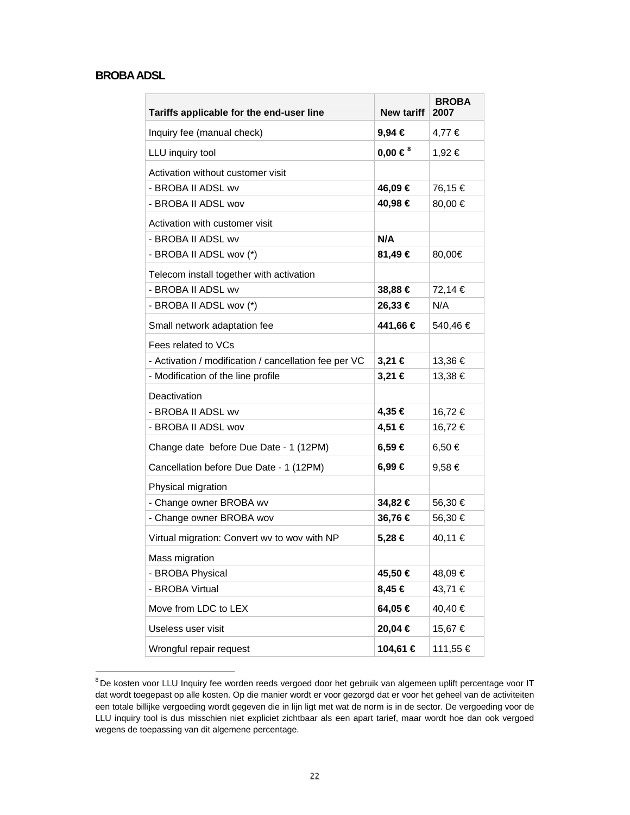## **BROBAADSL**

l

| Tariffs applicable for the end-user line              | New tariff              | <b>BROBA</b><br>2007 |
|-------------------------------------------------------|-------------------------|----------------------|
| Inquiry fee (manual check)                            | 9,94 €                  | 4,77 €               |
| LLU inquiry tool                                      | $0,00 \in \mathbb{S}^8$ | 1,92 €               |
| Activation without customer visit                     |                         |                      |
| - BROBA II ADSL wv                                    | 46,09 €                 | 76,15€               |
| - BROBA II ADSL wov                                   | 40,98 €                 | 80,00 €              |
| Activation with customer visit                        |                         |                      |
| - BROBA II ADSL wv                                    | N/A                     |                      |
| - BROBA II ADSL wov (*)                               | 81,49 €                 | 80,00€               |
| Telecom install together with activation              |                         |                      |
| - BROBA II ADSL wv                                    | 38,88 €                 | 72,14 €              |
| - BROBA II ADSL wov (*)                               | 26,33 €                 | N/A                  |
| Small network adaptation fee                          | 441,66 €                | 540,46€              |
| Fees related to VCs                                   |                         |                      |
| - Activation / modification / cancellation fee per VC | 3,21 €                  | 13,36 €              |
| - Modification of the line profile                    | 3,21 €                  | 13,38 €              |
| Deactivation                                          |                         |                      |
| - BROBA II ADSL wv                                    | 4,35 €                  | 16,72 €              |
| - BROBA II ADSL wov                                   | 4,51 €                  | 16,72€               |
| Change date before Due Date - 1 (12PM)                | 6,59€                   | 6,50 €               |
| Cancellation before Due Date - 1 (12PM)               | 6,99€                   | 9,58 €               |
| Physical migration                                    |                         |                      |
| - Change owner BROBA wv                               | 34,82 €                 | 56,30 €              |
| - Change owner BROBA wov                              | 36,76 €                 | 56,30 €              |
| Virtual migration: Convert wv to wov with NP          | 5,28 €                  | 40,11 €              |
| Mass migration                                        |                         |                      |
| - BROBA Physical                                      | 45,50 €                 | 48,09€               |
| - BROBA Virtual                                       | 8,45 €                  | 43,71 €              |
| Move from LDC to LEX                                  | 64,05 €                 | 40,40 €              |
| Useless user visit                                    | 20,04 €                 | 15,67€               |
| Wrongful repair request                               | 104,61 €                | 111,55 €             |

<sup>&</sup>lt;sup>8</sup> De kosten voor LLU Inquiry fee worden reeds vergoed door het gebruik van algemeen uplift percentage voor IT dat wordt toegepast op alle kosten. Op die manier wordt er voor gezorgd dat er voor het geheel van de activiteiten een totale billijke vergoeding wordt gegeven die in lijn ligt met wat de norm is in de sector. De vergoeding voor de LLU inquiry tool is dus misschien niet expliciet zichtbaar als een apart tarief, maar wordt hoe dan ook vergoed wegens de toepassing van dit algemene percentage.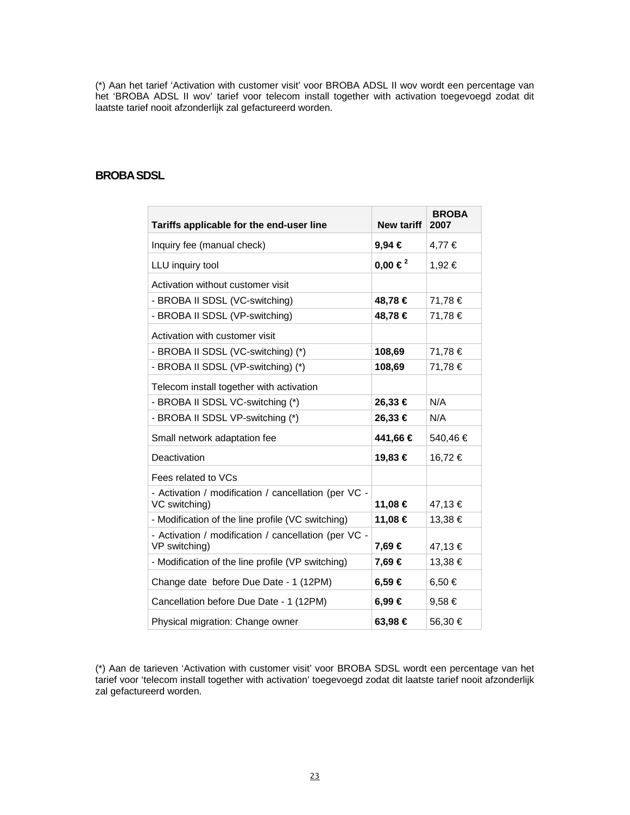(\*) Aan het tarief 'Activation with customer visit' voor BROBA ADSL II wov wordt een percentage van het 'BROBA ADSL II wov' tarief voor telecom install together with activation toegevoegd zodat dit laatste tarief nooit afzonderlijk zal gefactureerd worden.

## **BROBASDSL**

| Tariffs applicable for the end-user line                              | <b>New tariff</b>       | <b>BROBA</b><br>2007 |
|-----------------------------------------------------------------------|-------------------------|----------------------|
| Inquiry fee (manual check)                                            | $9,94 \in$              | 4,77 €               |
| LLU inquiry tool                                                      | $0,00 \in \mathbb{R}^2$ | 1,92 €               |
| Activation without customer visit                                     |                         |                      |
| - BROBA II SDSL (VC-switching)                                        | 48,78 €                 | 71,78 €              |
| - BROBA II SDSL (VP-switching)                                        | 48,78 €                 | 71,78€               |
| Activation with customer visit                                        |                         |                      |
| - BROBA II SDSL (VC-switching) (*)                                    | 108,69                  | 71,78 €              |
| - BROBA II SDSL (VP-switching) (*)                                    | 108,69                  | 71,78 €              |
| Telecom install together with activation                              |                         |                      |
| - BROBA II SDSL VC-switching (*)                                      | 26,33 €                 | N/A                  |
| - BROBA II SDSL VP-switching (*)                                      | 26,33 €                 | N/A                  |
| Small network adaptation fee                                          | 441,66 €                | 540,46 €             |
| Deactivation                                                          | 19,83 €                 | 16,72€               |
| Fees related to VCs                                                   |                         |                      |
| - Activation / modification / cancellation (per VC -<br>VC switching) | 11,08 €                 | 47,13€               |
| - Modification of the line profile (VC switching)                     | 11,08 €                 | 13,38 €              |
| - Activation / modification / cancellation (per VC -<br>VP switching) | 7,69 €                  | 47,13€               |
| - Modification of the line profile (VP switching)                     | 7,69 €                  | 13,38 €              |
| Change date before Due Date - 1 (12PM)                                | 6,59€                   | 6,50 €               |
| Cancellation before Due Date - 1 (12PM)                               | 6,99€                   | 9,58 €               |
| Physical migration: Change owner                                      | 63,98€                  | 56,30 €              |

(\*) Aan de tarieven 'Activation with customer visit' voor BROBA SDSL wordt een percentage van het tarief voor 'telecom install together with activation' toegevoegd zodat dit laatste tarief nooit afzonderlijk zal gefactureerd worden.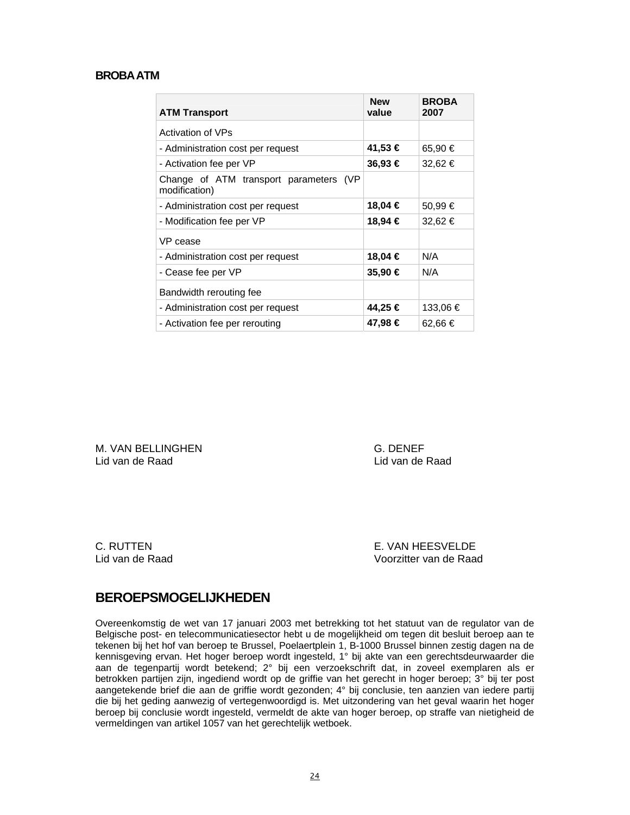## **BROBAATM**

| <b>ATM Transport</b>                                       | <b>New</b><br>value | <b>BROBA</b><br>2007 |
|------------------------------------------------------------|---------------------|----------------------|
| Activation of VPs                                          |                     |                      |
| - Administration cost per request                          | 41,53 €             | 65,90 €              |
| - Activation fee per VP                                    | 36,93 €             | 32,62 €              |
| Change of ATM transport parameters<br>(VP<br>modification) |                     |                      |
| - Administration cost per request                          | 18,04 €             | 50,99 €              |
| - Modification fee per VP                                  | 18,94 €             | 32,62 €              |
| VP cease                                                   |                     |                      |
| - Administration cost per request                          | 18,04 €             | N/A                  |
| - Cease fee per VP                                         | 35,90 €             | N/A                  |
| Bandwidth rerouting fee                                    |                     |                      |
| - Administration cost per request                          | 44,25 €             | 133,06 €             |
| - Activation fee per rerouting                             | 47,98 €             | 62,66 €              |

M. VAN BELLINGHEN G. DENEF Lid van de Raad Lid van de Raad

C. RUTTEN E. VAN HEESVELDE Lid van de Raad Voorzitter van de Raad

## **BEROEPSMOGELIJKHEDEN**

Overeenkomstig de wet van 17 januari 2003 met betrekking tot het statuut van de regulator van de Belgische post- en telecommunicatiesector hebt u de mogelijkheid om tegen dit besluit beroep aan te tekenen bij het hof van beroep te Brussel, Poelaertplein 1, B-1000 Brussel binnen zestig dagen na de kennisgeving ervan. Het hoger beroep wordt ingesteld, 1° bij akte van een gerechtsdeurwaarder die aan de tegenpartij wordt betekend; 2° bij een verzoekschrift dat, in zoveel exemplaren als er betrokken partijen zijn, ingediend wordt op de griffie van het gerecht in hoger beroep; 3° bij ter post aangetekende brief die aan de griffie wordt gezonden; 4° bij conclusie, ten aanzien van iedere partij die bij het geding aanwezig of vertegenwoordigd is. Met uitzondering van het geval waarin het hoger beroep bij conclusie wordt ingesteld, vermeldt de akte van hoger beroep, op straffe van nietigheid de vermeldingen van artikel 1057 van het gerechtelijk wetboek.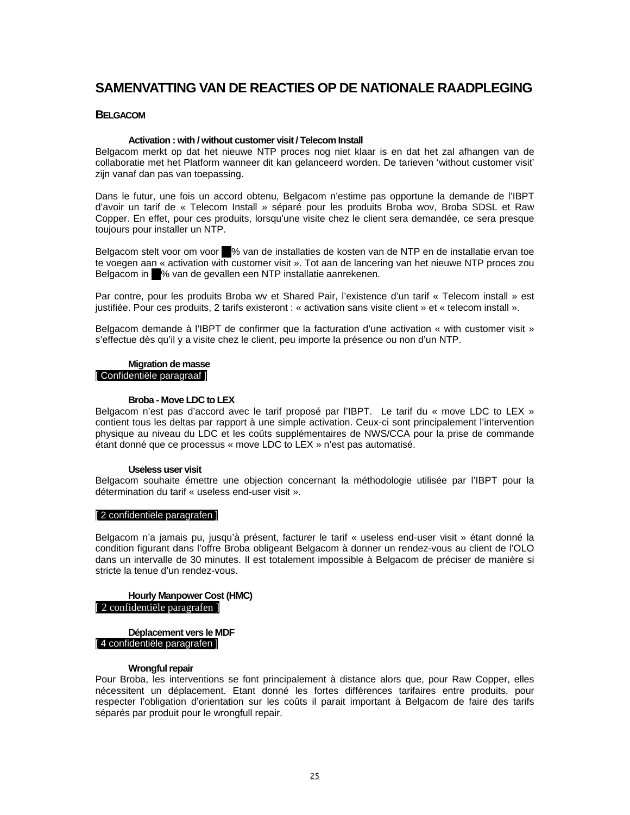## **SAMENVATTING VAN DE REACTIES OP DE NATIONALE RAADPLEGING**

#### **BELGACOM**

#### **Activation : with / without customer visit / Telecom Install**

Belgacom merkt op dat het nieuwe NTP proces nog niet klaar is en dat het zal afhangen van de collaboratie met het Platform wanneer dit kan gelanceerd worden. De tarieven 'without customer visit' zijn vanaf dan pas van toepassing.

Dans le futur, une fois un accord obtenu, Belgacom n'estime pas opportune la demande de l'IBPT d'avoir un tarif de « Telecom Install » séparé pour les produits Broba wov, Broba SDSL et Raw Copper. En effet, pour ces produits, lorsqu'une visite chez le client sera demandée, ce sera presque toujours pour installer un NTP.

Belgacom stelt voor om voor % van de installaties de kosten van de NTP en de installatie ervan toe te voegen aan « activation with customer visit ». Tot aan de lancering van het nieuwe NTP proces zou Belgacom in % van de gevallen een NTP installatie aanrekenen.

Par contre, pour les produits Broba wv et Shared Pair, l'existence d'un tarif « Telecom install » est justifiée. Pour ces produits, 2 tarifs existeront : « activation sans visite client » et « telecom install ».

Belgacom demande à l'IBPT de confirmer que la facturation d'une activation « with customer visit » s'effectue dès qu'il y a visite chez le client, peu importe la présence ou non d'un NTP.

#### **Migration de masse**  [ Confidentiële paragraaf ]

#### **Broba - Move LDC to LEX**

Belgacom n'est pas d'accord avec le tarif proposé par l'IBPT. Le tarif du « move LDC to LEX » contient tous les deltas par rapport à une simple activation. Ceux-ci sont principalement l'intervention physique au niveau du LDC et les coûts supplémentaires de NWS/CCA pour la prise de commande étant donné que ce processus « move LDC to LEX » n'est pas automatisé.

#### **Useless user visit**

Belgacom souhaite émettre une objection concernant la méthodologie utilisée par l'IBPT pour la détermination du tarif « useless end-user visit ».

#### [ 2 confidentiële paragrafen ]

Belgacom n'a jamais pu, jusqu'à présent, facturer le tarif « useless end-user visit » étant donné la condition figurant dans l'offre Broba obligeant Belgacom à donner un rendez-vous au client de l'OLO dans un intervalle de 30 minutes. Il est totalement impossible à Belgacom de préciser de manière si stricte la tenue d'un rendez-vous.

#### **Hourly Manpower Cost (HMC)**  [ 2 confidentiële paragrafen ]

**Déplacement vers le MDF**  [ 4 confidentiële paragrafen ]

#### **Wrongful repair**

Pour Broba, les interventions se font principalement à distance alors que, pour Raw Copper, elles nécessitent un déplacement. Etant donné les fortes différences tarifaires entre produits, pour respecter l'obligation d'orientation sur les coûts il parait important à Belgacom de faire des tarifs séparés par produit pour le wrongfull repair.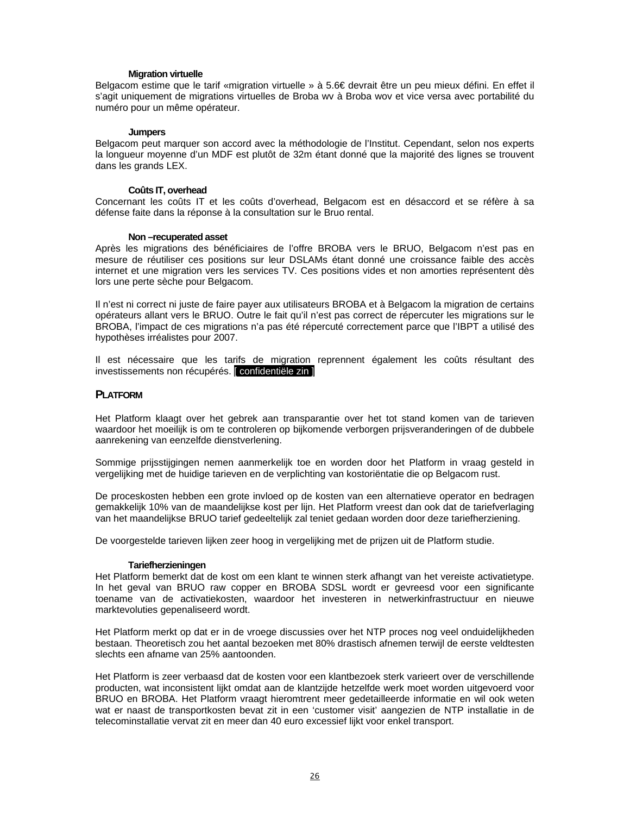#### **Migration virtuelle**

Belgacom estime que le tarif «migration virtuelle » à 5.6€ devrait être un peu mieux défini. En effet il s'agit uniquement de migrations virtuelles de Broba wv à Broba wov et vice versa avec portabilité du numéro pour un même opérateur.

#### **Jumpers**

Belgacom peut marquer son accord avec la méthodologie de l'Institut. Cependant, selon nos experts la longueur moyenne d'un MDF est plutôt de 32m étant donné que la majorité des lignes se trouvent dans les grands LEX.

#### **Coûts IT, overhead**

Concernant les coûts IT et les coûts d'overhead, Belgacom est en désaccord et se réfère à sa défense faite dans la réponse à la consultation sur le Bruo rental.

#### **Non –recuperated asset**

Après les migrations des bénéficiaires de l'offre BROBA vers le BRUO, Belgacom n'est pas en mesure de réutiliser ces positions sur leur DSLAMs étant donné une croissance faible des accès internet et une migration vers les services TV. Ces positions vides et non amorties représentent dès lors une perte sèche pour Belgacom.

Il n'est ni correct ni juste de faire payer aux utilisateurs BROBA et à Belgacom la migration de certains opérateurs allant vers le BRUO. Outre le fait qu'il n'est pas correct de répercuter les migrations sur le BROBA, l'impact de ces migrations n'a pas été répercuté correctement parce que l'IBPT a utilisé des hypothèses irréalistes pour 2007.

Il est nécessaire que les tarifs de migration reprennent également les coûts résultant des investissements non récupérés. [ confidentiële zin ]

#### **PLATFORM**

Het Platform klaagt over het gebrek aan transparantie over het tot stand komen van de tarieven waardoor het moeilijk is om te controleren op bijkomende verborgen prijsveranderingen of de dubbele aanrekening van eenzelfde dienstverlening.

Sommige prijsstijgingen nemen aanmerkelijk toe en worden door het Platform in vraag gesteld in vergelijking met de huidige tarieven en de verplichting van kostoriëntatie die op Belgacom rust.

De proceskosten hebben een grote invloed op de kosten van een alternatieve operator en bedragen gemakkelijk 10% van de maandelijkse kost per lijn. Het Platform vreest dan ook dat de tariefverlaging van het maandelijkse BRUO tarief gedeeltelijk zal teniet gedaan worden door deze tariefherziening.

De voorgestelde tarieven lijken zeer hoog in vergelijking met de prijzen uit de Platform studie.

#### **Tariefherzieningen**

Het Platform bemerkt dat de kost om een klant te winnen sterk afhangt van het vereiste activatietype. In het geval van BRUO raw copper en BROBA SDSL wordt er gevreesd voor een significante toename van de activatiekosten, waardoor het investeren in netwerkinfrastructuur en nieuwe marktevoluties gepenaliseerd wordt.

Het Platform merkt op dat er in de vroege discussies over het NTP proces nog veel onduidelijkheden bestaan. Theoretisch zou het aantal bezoeken met 80% drastisch afnemen terwijl de eerste veldtesten slechts een afname van 25% aantoonden.

Het Platform is zeer verbaasd dat de kosten voor een klantbezoek sterk varieert over de verschillende producten, wat inconsistent lijkt omdat aan de klantzijde hetzelfde werk moet worden uitgevoerd voor BRUO en BROBA. Het Platform vraagt hieromtrent meer gedetailleerde informatie en wil ook weten wat er naast de transportkosten bevat zit in een 'customer visit' aangezien de NTP installatie in de telecominstallatie vervat zit en meer dan 40 euro excessief lijkt voor enkel transport.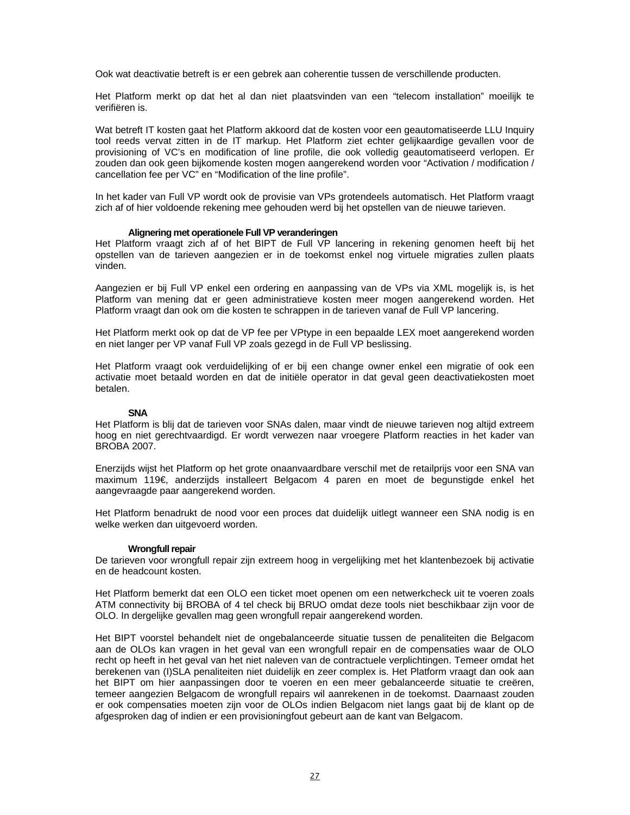Ook wat deactivatie betreft is er een gebrek aan coherentie tussen de verschillende producten.

Het Platform merkt op dat het al dan niet plaatsvinden van een "telecom installation" moeilijk te verifiëren is.

Wat betreft IT kosten gaat het Platform akkoord dat de kosten voor een geautomatiseerde LLU Inquiry tool reeds vervat zitten in de IT markup. Het Platform ziet echter gelijkaardige gevallen voor de provisioning of VC's en modification of line profile, die ook volledig geautomatiseerd verlopen. Er zouden dan ook geen bijkomende kosten mogen aangerekend worden voor "Activation / modification / cancellation fee per VC" en "Modification of the line profile".

In het kader van Full VP wordt ook de provisie van VPs grotendeels automatisch. Het Platform vraagt zich af of hier voldoende rekening mee gehouden werd bij het opstellen van de nieuwe tarieven.

#### **Alignering met operationele Full VP veranderingen**

Het Platform vraagt zich af of het BIPT de Full VP lancering in rekening genomen heeft bij het opstellen van de tarieven aangezien er in de toekomst enkel nog virtuele migraties zullen plaats vinden.

Aangezien er bij Full VP enkel een ordering en aanpassing van de VPs via XML mogelijk is, is het Platform van mening dat er geen administratieve kosten meer mogen aangerekend worden. Het Platform vraagt dan ook om die kosten te schrappen in de tarieven vanaf de Full VP lancering.

Het Platform merkt ook op dat de VP fee per VPtype in een bepaalde LEX moet aangerekend worden en niet langer per VP vanaf Full VP zoals gezegd in de Full VP beslissing.

Het Platform vraagt ook verduidelijking of er bij een change owner enkel een migratie of ook een activatie moet betaald worden en dat de initiële operator in dat geval geen deactivatiekosten moet betalen.

#### **SNA**

Het Platform is blij dat de tarieven voor SNAs dalen, maar vindt de nieuwe tarieven nog altijd extreem hoog en niet gerechtvaardigd. Er wordt verwezen naar vroegere Platform reacties in het kader van BROBA 2007.

Enerzijds wijst het Platform op het grote onaanvaardbare verschil met de retailprijs voor een SNA van maximum 119€, anderzijds installeert Belgacom 4 paren en moet de begunstigde enkel het aangevraagde paar aangerekend worden.

Het Platform benadrukt de nood voor een proces dat duidelijk uitlegt wanneer een SNA nodig is en welke werken dan uitgevoerd worden.

#### **Wrongfull repair**

De tarieven voor wrongfull repair zijn extreem hoog in vergelijking met het klantenbezoek bij activatie en de headcount kosten.

Het Platform bemerkt dat een OLO een ticket moet openen om een netwerkcheck uit te voeren zoals ATM connectivity bij BROBA of 4 tel check bij BRUO omdat deze tools niet beschikbaar zijn voor de OLO. In dergelijke gevallen mag geen wrongfull repair aangerekend worden.

Het BIPT voorstel behandelt niet de ongebalanceerde situatie tussen de penaliteiten die Belgacom aan de OLOs kan vragen in het geval van een wrongfull repair en de compensaties waar de OLO recht op heeft in het geval van het niet naleven van de contractuele verplichtingen. Temeer omdat het berekenen van (I)SLA penaliteiten niet duidelijk en zeer complex is. Het Platform vraagt dan ook aan het BIPT om hier aanpassingen door te voeren en een meer gebalanceerde situatie te creëren, temeer aangezien Belgacom de wrongfull repairs wil aanrekenen in de toekomst. Daarnaast zouden er ook compensaties moeten zijn voor de OLOs indien Belgacom niet langs gaat bij de klant op de afgesproken dag of indien er een provisioningfout gebeurt aan de kant van Belgacom.